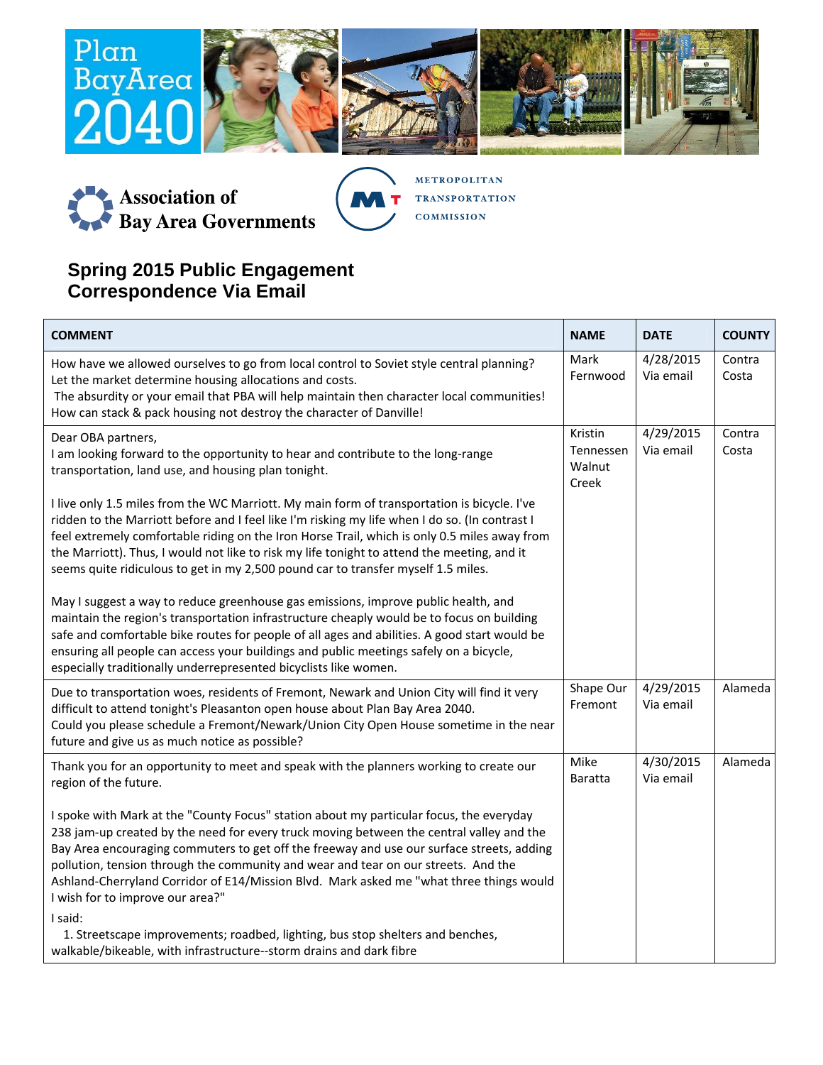



**METROPOLITAN TRANSPORTATION COMMISSION** 

## **Spring 2015 Public Engagement Correspondence Via Email**

| <b>COMMENT</b>                                                                                                                                                                                                                                                                                                                                                                                                                                                                                        | <b>NAME</b>                             | <b>DATE</b>            | <b>COUNTY</b>   |
|-------------------------------------------------------------------------------------------------------------------------------------------------------------------------------------------------------------------------------------------------------------------------------------------------------------------------------------------------------------------------------------------------------------------------------------------------------------------------------------------------------|-----------------------------------------|------------------------|-----------------|
| How have we allowed ourselves to go from local control to Soviet style central planning?<br>Let the market determine housing allocations and costs.<br>The absurdity or your email that PBA will help maintain then character local communities!<br>How can stack & pack housing not destroy the character of Danville!                                                                                                                                                                               | Mark<br>Fernwood                        | 4/28/2015<br>Via email | Contra<br>Costa |
| Dear OBA partners,<br>I am looking forward to the opportunity to hear and contribute to the long-range<br>transportation, land use, and housing plan tonight.                                                                                                                                                                                                                                                                                                                                         | Kristin<br>Tennessen<br>Walnut<br>Creek | 4/29/2015<br>Via email | Contra<br>Costa |
| I live only 1.5 miles from the WC Marriott. My main form of transportation is bicycle. I've<br>ridden to the Marriott before and I feel like I'm risking my life when I do so. (In contrast I<br>feel extremely comfortable riding on the Iron Horse Trail, which is only 0.5 miles away from<br>the Marriott). Thus, I would not like to risk my life tonight to attend the meeting, and it<br>seems quite ridiculous to get in my 2,500 pound car to transfer myself 1.5 miles.                     |                                         |                        |                 |
| May I suggest a way to reduce greenhouse gas emissions, improve public health, and<br>maintain the region's transportation infrastructure cheaply would be to focus on building<br>safe and comfortable bike routes for people of all ages and abilities. A good start would be<br>ensuring all people can access your buildings and public meetings safely on a bicycle,<br>especially traditionally underrepresented bicyclists like women.                                                         |                                         |                        |                 |
| Due to transportation woes, residents of Fremont, Newark and Union City will find it very<br>difficult to attend tonight's Pleasanton open house about Plan Bay Area 2040.<br>Could you please schedule a Fremont/Newark/Union City Open House sometime in the near<br>future and give us as much notice as possible?                                                                                                                                                                                 | Shape Our<br>Fremont                    | 4/29/2015<br>Via email | Alameda         |
| Thank you for an opportunity to meet and speak with the planners working to create our<br>region of the future.                                                                                                                                                                                                                                                                                                                                                                                       | Mike<br>Baratta                         | 4/30/2015<br>Via email | Alameda         |
| I spoke with Mark at the "County Focus" station about my particular focus, the everyday<br>238 jam-up created by the need for every truck moving between the central valley and the<br>Bay Area encouraging commuters to get off the freeway and use our surface streets, adding<br>pollution, tension through the community and wear and tear on our streets. And the<br>Ashland-Cherryland Corridor of E14/Mission Blvd. Mark asked me "what three things would<br>I wish for to improve our area?" |                                         |                        |                 |
| I said:<br>1. Streetscape improvements; roadbed, lighting, bus stop shelters and benches,<br>walkable/bikeable, with infrastructure--storm drains and dark fibre                                                                                                                                                                                                                                                                                                                                      |                                         |                        |                 |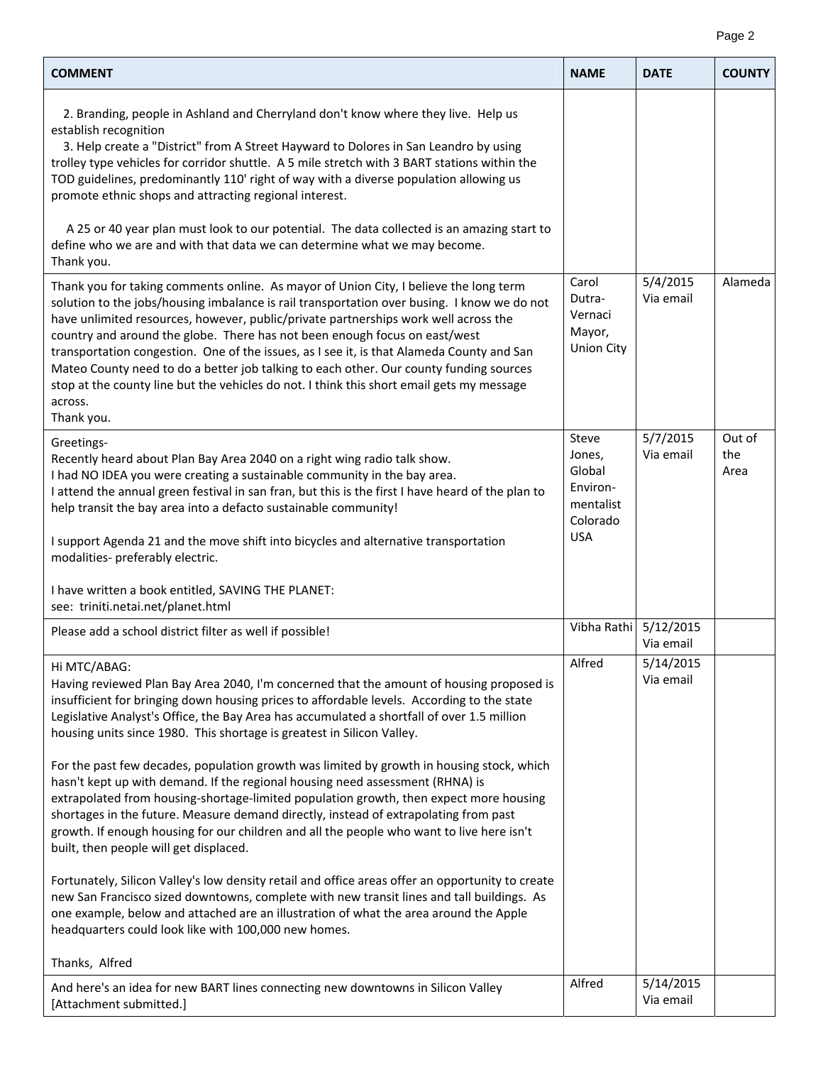|--|--|

| <b>COMMENT</b>                                                                                                                                                                                                                                                                                                                                                                                                                                                                                                                                                                                                                                                         | <b>NAME</b>                                                                  | <b>DATE</b>            | <b>COUNTY</b>         |
|------------------------------------------------------------------------------------------------------------------------------------------------------------------------------------------------------------------------------------------------------------------------------------------------------------------------------------------------------------------------------------------------------------------------------------------------------------------------------------------------------------------------------------------------------------------------------------------------------------------------------------------------------------------------|------------------------------------------------------------------------------|------------------------|-----------------------|
| 2. Branding, people in Ashland and Cherryland don't know where they live. Help us<br>establish recognition<br>3. Help create a "District" from A Street Hayward to Dolores in San Leandro by using<br>trolley type vehicles for corridor shuttle. A 5 mile stretch with 3 BART stations within the<br>TOD guidelines, predominantly 110' right of way with a diverse population allowing us<br>promote ethnic shops and attracting regional interest.                                                                                                                                                                                                                  |                                                                              |                        |                       |
| A 25 or 40 year plan must look to our potential. The data collected is an amazing start to<br>define who we are and with that data we can determine what we may become.<br>Thank you.                                                                                                                                                                                                                                                                                                                                                                                                                                                                                  |                                                                              |                        |                       |
| Thank you for taking comments online. As mayor of Union City, I believe the long term<br>solution to the jobs/housing imbalance is rail transportation over busing. I know we do not<br>have unlimited resources, however, public/private partnerships work well across the<br>country and around the globe. There has not been enough focus on east/west<br>transportation congestion. One of the issues, as I see it, is that Alameda County and San<br>Mateo County need to do a better job talking to each other. Our county funding sources<br>stop at the county line but the vehicles do not. I think this short email gets my message<br>across.<br>Thank you. | Carol<br>Dutra-<br>Vernaci<br>Mayor,<br><b>Union City</b>                    | 5/4/2015<br>Via email  | Alameda               |
| Greetings-<br>Recently heard about Plan Bay Area 2040 on a right wing radio talk show.<br>I had NO IDEA you were creating a sustainable community in the bay area.<br>I attend the annual green festival in san fran, but this is the first I have heard of the plan to<br>help transit the bay area into a defacto sustainable community!<br>I support Agenda 21 and the move shift into bicycles and alternative transportation<br>modalities- preferably electric.                                                                                                                                                                                                  | Steve<br>Jones,<br>Global<br>Environ-<br>mentalist<br>Colorado<br><b>USA</b> | 5/7/2015<br>Via email  | Out of<br>the<br>Area |
| I have written a book entitled, SAVING THE PLANET:<br>see: triniti.netai.net/planet.html                                                                                                                                                                                                                                                                                                                                                                                                                                                                                                                                                                               |                                                                              |                        |                       |
| Please add a school district filter as well if possible!                                                                                                                                                                                                                                                                                                                                                                                                                                                                                                                                                                                                               | Vibha Rathi                                                                  | 5/12/2015<br>Via email |                       |
| Hi MTC/ABAG:<br>Having reviewed Plan Bay Area 2040, I'm concerned that the amount of housing proposed is<br>insufficient for bringing down housing prices to affordable levels. According to the state<br>Legislative Analyst's Office, the Bay Area has accumulated a shortfall of over 1.5 million<br>housing units since 1980. This shortage is greatest in Silicon Valley.                                                                                                                                                                                                                                                                                         | Alfred                                                                       | 5/14/2015<br>Via email |                       |
| For the past few decades, population growth was limited by growth in housing stock, which<br>hasn't kept up with demand. If the regional housing need assessment (RHNA) is<br>extrapolated from housing-shortage-limited population growth, then expect more housing<br>shortages in the future. Measure demand directly, instead of extrapolating from past<br>growth. If enough housing for our children and all the people who want to live here isn't<br>built, then people will get displaced.                                                                                                                                                                    |                                                                              |                        |                       |
| Fortunately, Silicon Valley's low density retail and office areas offer an opportunity to create<br>new San Francisco sized downtowns, complete with new transit lines and tall buildings. As<br>one example, below and attached are an illustration of what the area around the Apple<br>headquarters could look like with 100,000 new homes.                                                                                                                                                                                                                                                                                                                         |                                                                              |                        |                       |
| Thanks, Alfred                                                                                                                                                                                                                                                                                                                                                                                                                                                                                                                                                                                                                                                         |                                                                              |                        |                       |
| And here's an idea for new BART lines connecting new downtowns in Silicon Valley<br>[Attachment submitted.]                                                                                                                                                                                                                                                                                                                                                                                                                                                                                                                                                            | Alfred                                                                       | 5/14/2015<br>Via email |                       |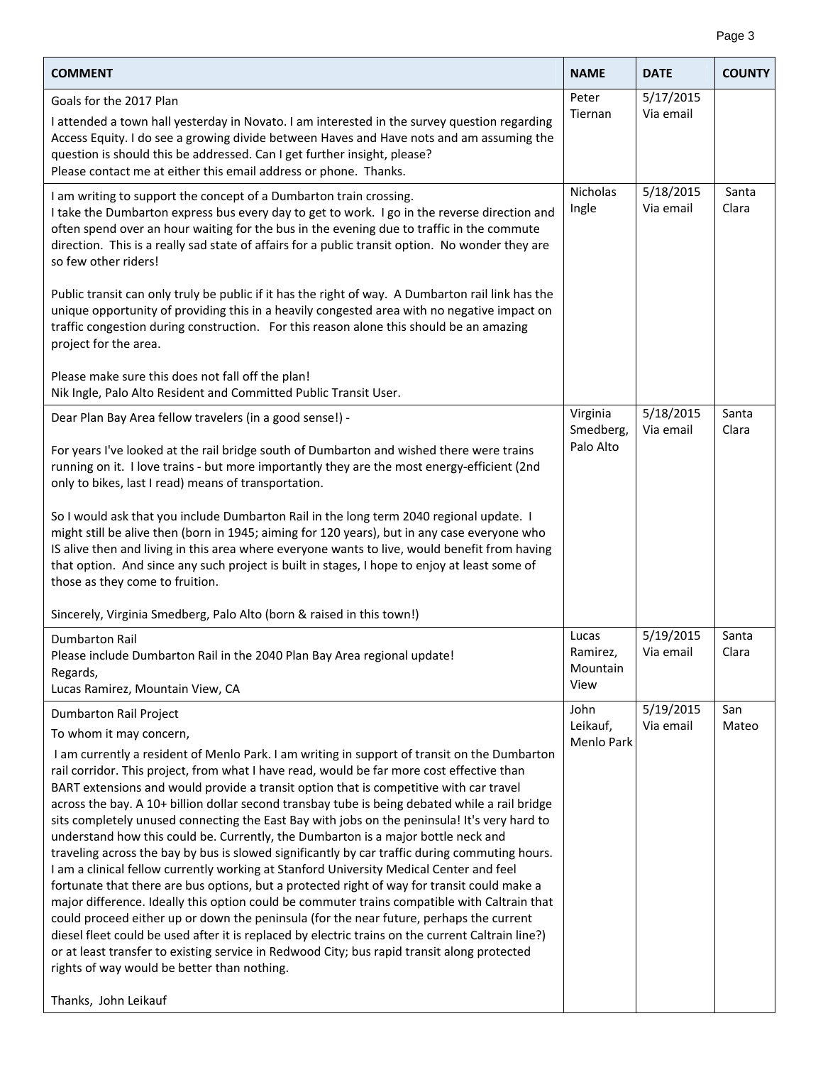|--|

| <b>COMMENT</b>                                                                                                                                                                                                                                                                                                                                                                                                                                                                                                                                                                                                                                                                                                                                                                                                                                                                                                                                                                                                                                                                                                                                                                                                                                                                                                                                  | <b>NAME</b>                           | <b>DATE</b>            | <b>COUNTY</b>  |
|-------------------------------------------------------------------------------------------------------------------------------------------------------------------------------------------------------------------------------------------------------------------------------------------------------------------------------------------------------------------------------------------------------------------------------------------------------------------------------------------------------------------------------------------------------------------------------------------------------------------------------------------------------------------------------------------------------------------------------------------------------------------------------------------------------------------------------------------------------------------------------------------------------------------------------------------------------------------------------------------------------------------------------------------------------------------------------------------------------------------------------------------------------------------------------------------------------------------------------------------------------------------------------------------------------------------------------------------------|---------------------------------------|------------------------|----------------|
| Goals for the 2017 Plan<br>I attended a town hall yesterday in Novato. I am interested in the survey question regarding<br>Access Equity. I do see a growing divide between Haves and Have nots and am assuming the<br>question is should this be addressed. Can I get further insight, please?<br>Please contact me at either this email address or phone. Thanks.                                                                                                                                                                                                                                                                                                                                                                                                                                                                                                                                                                                                                                                                                                                                                                                                                                                                                                                                                                             | Peter<br>Tiernan                      | 5/17/2015<br>Via email |                |
| I am writing to support the concept of a Dumbarton train crossing.<br>I take the Dumbarton express bus every day to get to work. I go in the reverse direction and<br>often spend over an hour waiting for the bus in the evening due to traffic in the commute<br>direction. This is a really sad state of affairs for a public transit option. No wonder they are<br>so few other riders!                                                                                                                                                                                                                                                                                                                                                                                                                                                                                                                                                                                                                                                                                                                                                                                                                                                                                                                                                     | Nicholas<br>Ingle                     | 5/18/2015<br>Via email | Santa<br>Clara |
| Public transit can only truly be public if it has the right of way. A Dumbarton rail link has the<br>unique opportunity of providing this in a heavily congested area with no negative impact on<br>traffic congestion during construction. For this reason alone this should be an amazing<br>project for the area.                                                                                                                                                                                                                                                                                                                                                                                                                                                                                                                                                                                                                                                                                                                                                                                                                                                                                                                                                                                                                            |                                       |                        |                |
| Please make sure this does not fall off the plan!<br>Nik Ingle, Palo Alto Resident and Committed Public Transit User.                                                                                                                                                                                                                                                                                                                                                                                                                                                                                                                                                                                                                                                                                                                                                                                                                                                                                                                                                                                                                                                                                                                                                                                                                           |                                       |                        |                |
| Dear Plan Bay Area fellow travelers (in a good sense!) -                                                                                                                                                                                                                                                                                                                                                                                                                                                                                                                                                                                                                                                                                                                                                                                                                                                                                                                                                                                                                                                                                                                                                                                                                                                                                        | Virginia<br>Smedberg,                 | 5/18/2015<br>Via email | Santa<br>Clara |
| For years I've looked at the rail bridge south of Dumbarton and wished there were trains<br>running on it. I love trains - but more importantly they are the most energy-efficient (2nd<br>only to bikes, last I read) means of transportation.                                                                                                                                                                                                                                                                                                                                                                                                                                                                                                                                                                                                                                                                                                                                                                                                                                                                                                                                                                                                                                                                                                 | Palo Alto                             |                        |                |
| So I would ask that you include Dumbarton Rail in the long term 2040 regional update. I<br>might still be alive then (born in 1945; aiming for 120 years), but in any case everyone who<br>IS alive then and living in this area where everyone wants to live, would benefit from having<br>that option. And since any such project is built in stages, I hope to enjoy at least some of<br>those as they come to fruition.                                                                                                                                                                                                                                                                                                                                                                                                                                                                                                                                                                                                                                                                                                                                                                                                                                                                                                                     |                                       |                        |                |
| Sincerely, Virginia Smedberg, Palo Alto (born & raised in this town!)                                                                                                                                                                                                                                                                                                                                                                                                                                                                                                                                                                                                                                                                                                                                                                                                                                                                                                                                                                                                                                                                                                                                                                                                                                                                           |                                       |                        |                |
| <b>Dumbarton Rail</b><br>Please include Dumbarton Rail in the 2040 Plan Bay Area regional update!<br>Regards,<br>Lucas Ramirez, Mountain View, CA                                                                                                                                                                                                                                                                                                                                                                                                                                                                                                                                                                                                                                                                                                                                                                                                                                                                                                                                                                                                                                                                                                                                                                                               | Lucas<br>Ramirez,<br>Mountain<br>View | 5/19/2015<br>Via email | Santa<br>Clara |
| Dumbarton Rail Project                                                                                                                                                                                                                                                                                                                                                                                                                                                                                                                                                                                                                                                                                                                                                                                                                                                                                                                                                                                                                                                                                                                                                                                                                                                                                                                          | John                                  | 5/19/2015              | San            |
| To whom it may concern,<br>I am currently a resident of Menlo Park. I am writing in support of transit on the Dumbarton<br>rail corridor. This project, from what I have read, would be far more cost effective than<br>BART extensions and would provide a transit option that is competitive with car travel<br>across the bay. A 10+ billion dollar second transbay tube is being debated while a rail bridge<br>sits completely unused connecting the East Bay with jobs on the peninsula! It's very hard to<br>understand how this could be. Currently, the Dumbarton is a major bottle neck and<br>traveling across the bay by bus is slowed significantly by car traffic during commuting hours.<br>I am a clinical fellow currently working at Stanford University Medical Center and feel<br>fortunate that there are bus options, but a protected right of way for transit could make a<br>major difference. Ideally this option could be commuter trains compatible with Caltrain that<br>could proceed either up or down the peninsula (for the near future, perhaps the current<br>diesel fleet could be used after it is replaced by electric trains on the current Caltrain line?)<br>or at least transfer to existing service in Redwood City; bus rapid transit along protected<br>rights of way would be better than nothing. | Leikauf,<br><b>Menlo Park</b>         | Via email              | Mateo          |
| Thanks, John Leikauf                                                                                                                                                                                                                                                                                                                                                                                                                                                                                                                                                                                                                                                                                                                                                                                                                                                                                                                                                                                                                                                                                                                                                                                                                                                                                                                            |                                       |                        |                |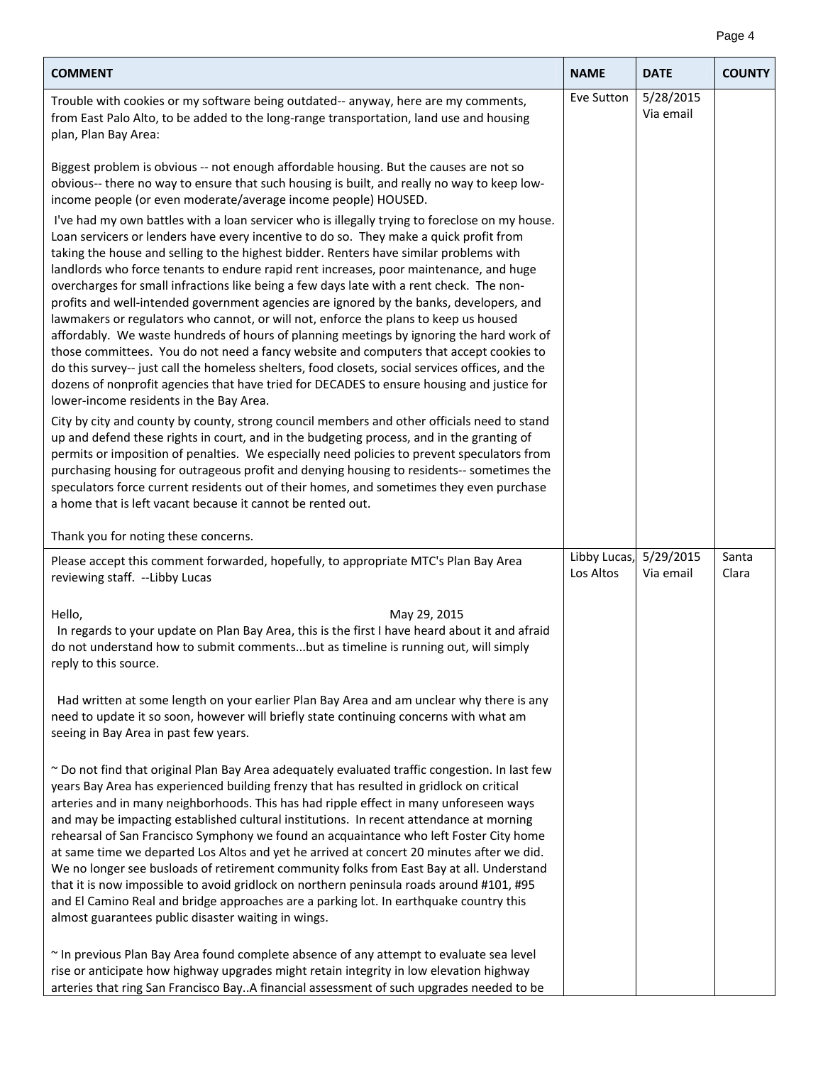| <b>COMMENT</b>                                                                                                                                                                                                                                                                                                                                                                                                                                                                                                                                                                                                                                                                                                                                                                                                                                                                                                                                                                                                                                                                                 | <b>NAME</b>               | <b>DATE</b>            | <b>COUNTY</b>  |
|------------------------------------------------------------------------------------------------------------------------------------------------------------------------------------------------------------------------------------------------------------------------------------------------------------------------------------------------------------------------------------------------------------------------------------------------------------------------------------------------------------------------------------------------------------------------------------------------------------------------------------------------------------------------------------------------------------------------------------------------------------------------------------------------------------------------------------------------------------------------------------------------------------------------------------------------------------------------------------------------------------------------------------------------------------------------------------------------|---------------------------|------------------------|----------------|
| Trouble with cookies or my software being outdated-- anyway, here are my comments,<br>from East Palo Alto, to be added to the long-range transportation, land use and housing<br>plan, Plan Bay Area:                                                                                                                                                                                                                                                                                                                                                                                                                                                                                                                                                                                                                                                                                                                                                                                                                                                                                          | Eve Sutton                | 5/28/2015<br>Via email |                |
| Biggest problem is obvious -- not enough affordable housing. But the causes are not so<br>obvious-- there no way to ensure that such housing is built, and really no way to keep low-<br>income people (or even moderate/average income people) HOUSED.                                                                                                                                                                                                                                                                                                                                                                                                                                                                                                                                                                                                                                                                                                                                                                                                                                        |                           |                        |                |
| I've had my own battles with a loan servicer who is illegally trying to foreclose on my house.<br>Loan servicers or lenders have every incentive to do so. They make a quick profit from<br>taking the house and selling to the highest bidder. Renters have similar problems with<br>landlords who force tenants to endure rapid rent increases, poor maintenance, and huge<br>overcharges for small infractions like being a few days late with a rent check. The non-<br>profits and well-intended government agencies are ignored by the banks, developers, and<br>lawmakers or regulators who cannot, or will not, enforce the plans to keep us housed<br>affordably. We waste hundreds of hours of planning meetings by ignoring the hard work of<br>those committees. You do not need a fancy website and computers that accept cookies to<br>do this survey-- just call the homeless shelters, food closets, social services offices, and the<br>dozens of nonprofit agencies that have tried for DECADES to ensure housing and justice for<br>lower-income residents in the Bay Area. |                           |                        |                |
| City by city and county by county, strong council members and other officials need to stand<br>up and defend these rights in court, and in the budgeting process, and in the granting of<br>permits or imposition of penalties. We especially need policies to prevent speculators from<br>purchasing housing for outrageous profit and denying housing to residents-- sometimes the<br>speculators force current residents out of their homes, and sometimes they even purchase<br>a home that is left vacant because it cannot be rented out.                                                                                                                                                                                                                                                                                                                                                                                                                                                                                                                                                |                           |                        |                |
| Thank you for noting these concerns.                                                                                                                                                                                                                                                                                                                                                                                                                                                                                                                                                                                                                                                                                                                                                                                                                                                                                                                                                                                                                                                           |                           |                        |                |
| Please accept this comment forwarded, hopefully, to appropriate MTC's Plan Bay Area<br>reviewing staff. --Libby Lucas                                                                                                                                                                                                                                                                                                                                                                                                                                                                                                                                                                                                                                                                                                                                                                                                                                                                                                                                                                          | Libby Lucas,<br>Los Altos | 5/29/2015<br>Via email | Santa<br>Clara |
| May 29, 2015<br>Hello,<br>In regards to your update on Plan Bay Area, this is the first I have heard about it and afraid<br>do not understand how to submit commentsbut as timeline is running out, will simply<br>reply to this source.                                                                                                                                                                                                                                                                                                                                                                                                                                                                                                                                                                                                                                                                                                                                                                                                                                                       |                           |                        |                |
| Had written at some length on your earlier Plan Bay Area and am unclear why there is any<br>need to update it so soon, however will briefly state continuing concerns with what am<br>seeing in Bay Area in past few years.                                                                                                                                                                                                                                                                                                                                                                                                                                                                                                                                                                                                                                                                                                                                                                                                                                                                    |                           |                        |                |
| ~ Do not find that original Plan Bay Area adequately evaluated traffic congestion. In last few<br>years Bay Area has experienced building frenzy that has resulted in gridlock on critical<br>arteries and in many neighborhoods. This has had ripple effect in many unforeseen ways<br>and may be impacting established cultural institutions. In recent attendance at morning<br>rehearsal of San Francisco Symphony we found an acquaintance who left Foster City home<br>at same time we departed Los Altos and yet he arrived at concert 20 minutes after we did.<br>We no longer see busloads of retirement community folks from East Bay at all. Understand<br>that it is now impossible to avoid gridlock on northern peninsula roads around #101, #95<br>and El Camino Real and bridge approaches are a parking lot. In earthquake country this<br>almost guarantees public disaster waiting in wings.                                                                                                                                                                                |                           |                        |                |
| ~ In previous Plan Bay Area found complete absence of any attempt to evaluate sea level<br>rise or anticipate how highway upgrades might retain integrity in low elevation highway<br>arteries that ring San Francisco BayA financial assessment of such upgrades needed to be                                                                                                                                                                                                                                                                                                                                                                                                                                                                                                                                                                                                                                                                                                                                                                                                                 |                           |                        |                |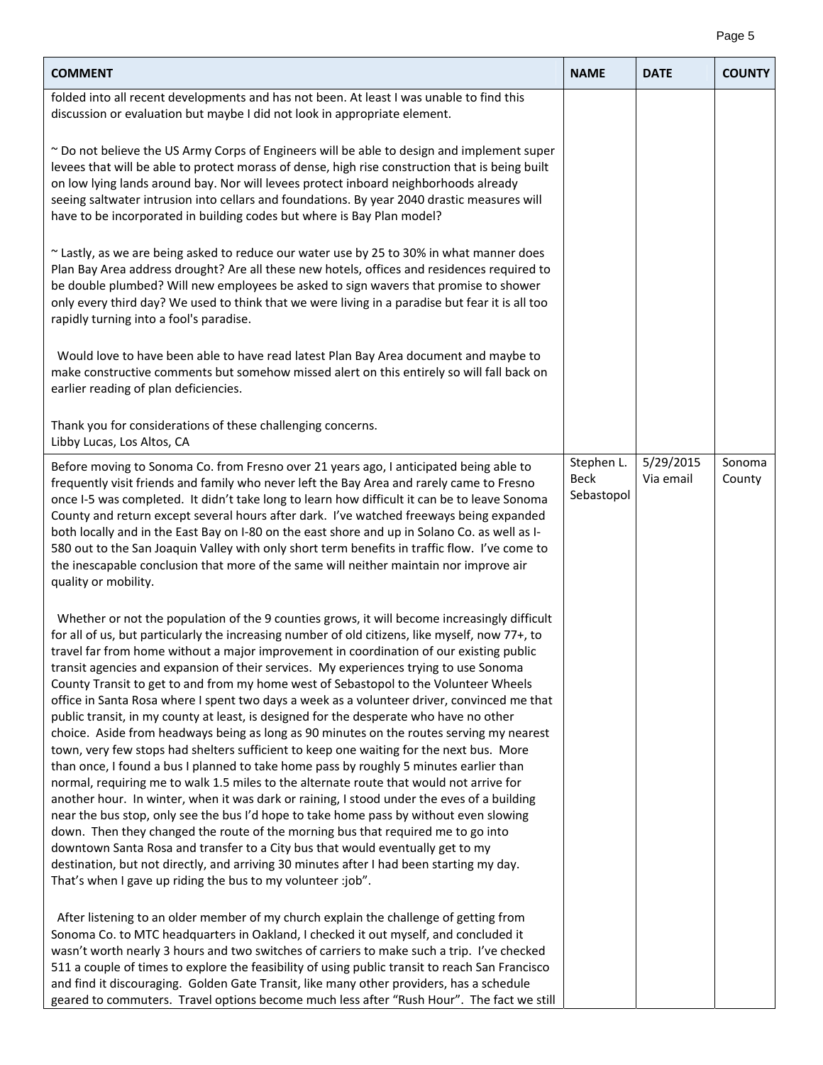|--|--|

| <b>COMMENT</b>                                                                                                                                                                                                                                                                                                                                                                                                                                                                                                                                                                                                                                                                                                                                                                                                                                                                                                                                                                                                                                                                                                                                                                                                                                                                                                                                                                                                                                                                                                                                                                                                                                                     | <b>NAME</b>                             | <b>DATE</b>            | <b>COUNTY</b>    |
|--------------------------------------------------------------------------------------------------------------------------------------------------------------------------------------------------------------------------------------------------------------------------------------------------------------------------------------------------------------------------------------------------------------------------------------------------------------------------------------------------------------------------------------------------------------------------------------------------------------------------------------------------------------------------------------------------------------------------------------------------------------------------------------------------------------------------------------------------------------------------------------------------------------------------------------------------------------------------------------------------------------------------------------------------------------------------------------------------------------------------------------------------------------------------------------------------------------------------------------------------------------------------------------------------------------------------------------------------------------------------------------------------------------------------------------------------------------------------------------------------------------------------------------------------------------------------------------------------------------------------------------------------------------------|-----------------------------------------|------------------------|------------------|
| folded into all recent developments and has not been. At least I was unable to find this<br>discussion or evaluation but maybe I did not look in appropriate element.<br>~ Do not believe the US Army Corps of Engineers will be able to design and implement super<br>levees that will be able to protect morass of dense, high rise construction that is being built<br>on low lying lands around bay. Nor will levees protect inboard neighborhoods already<br>seeing saltwater intrusion into cellars and foundations. By year 2040 drastic measures will<br>have to be incorporated in building codes but where is Bay Plan model?<br>~ Lastly, as we are being asked to reduce our water use by 25 to 30% in what manner does<br>Plan Bay Area address drought? Are all these new hotels, offices and residences required to<br>be double plumbed? Will new employees be asked to sign wavers that promise to shower<br>only every third day? We used to think that we were living in a paradise but fear it is all too<br>rapidly turning into a fool's paradise.<br>Would love to have been able to have read latest Plan Bay Area document and maybe to                                                                                                                                                                                                                                                                                                                                                                                                                                                                                                   |                                         |                        |                  |
| make constructive comments but somehow missed alert on this entirely so will fall back on<br>earlier reading of plan deficiencies.<br>Thank you for considerations of these challenging concerns.<br>Libby Lucas, Los Altos, CA                                                                                                                                                                                                                                                                                                                                                                                                                                                                                                                                                                                                                                                                                                                                                                                                                                                                                                                                                                                                                                                                                                                                                                                                                                                                                                                                                                                                                                    |                                         |                        |                  |
| Before moving to Sonoma Co. from Fresno over 21 years ago, I anticipated being able to<br>frequently visit friends and family who never left the Bay Area and rarely came to Fresno<br>once I-5 was completed. It didn't take long to learn how difficult it can be to leave Sonoma<br>County and return except several hours after dark. I've watched freeways being expanded<br>both locally and in the East Bay on I-80 on the east shore and up in Solano Co. as well as I-<br>580 out to the San Joaquin Valley with only short term benefits in traffic flow. I've come to<br>the inescapable conclusion that more of the same will neither maintain nor improve air<br>quality or mobility.                                                                                                                                                                                                                                                                                                                                                                                                                                                                                                                                                                                                                                                                                                                                                                                                                                                                                                                                                                 | Stephen L.<br><b>Beck</b><br>Sebastopol | 5/29/2015<br>Via email | Sonoma<br>County |
| Whether or not the population of the 9 counties grows, it will become increasingly difficult<br>for all of us, but particularly the increasing number of old citizens, like myself, now 77+, to<br>travel far from home without a major improvement in coordination of our existing public<br>transit agencies and expansion of their services. My experiences trying to use Sonoma<br>County Transit to get to and from my home west of Sebastopol to the Volunteer Wheels<br>office in Santa Rosa where I spent two days a week as a volunteer driver, convinced me that<br>public transit, in my county at least, is designed for the desperate who have no other<br>choice. Aside from headways being as long as 90 minutes on the routes serving my nearest<br>town, very few stops had shelters sufficient to keep one waiting for the next bus. More<br>than once, I found a bus I planned to take home pass by roughly 5 minutes earlier than<br>normal, requiring me to walk 1.5 miles to the alternate route that would not arrive for<br>another hour. In winter, when it was dark or raining, I stood under the eves of a building<br>near the bus stop, only see the bus I'd hope to take home pass by without even slowing<br>down. Then they changed the route of the morning bus that required me to go into<br>downtown Santa Rosa and transfer to a City bus that would eventually get to my<br>destination, but not directly, and arriving 30 minutes after I had been starting my day.<br>That's when I gave up riding the bus to my volunteer :job".<br>After listening to an older member of my church explain the challenge of getting from |                                         |                        |                  |
| Sonoma Co. to MTC headquarters in Oakland, I checked it out myself, and concluded it<br>wasn't worth nearly 3 hours and two switches of carriers to make such a trip. I've checked<br>511 a couple of times to explore the feasibility of using public transit to reach San Francisco<br>and find it discouraging. Golden Gate Transit, like many other providers, has a schedule<br>geared to commuters. Travel options become much less after "Rush Hour". The fact we still                                                                                                                                                                                                                                                                                                                                                                                                                                                                                                                                                                                                                                                                                                                                                                                                                                                                                                                                                                                                                                                                                                                                                                                     |                                         |                        |                  |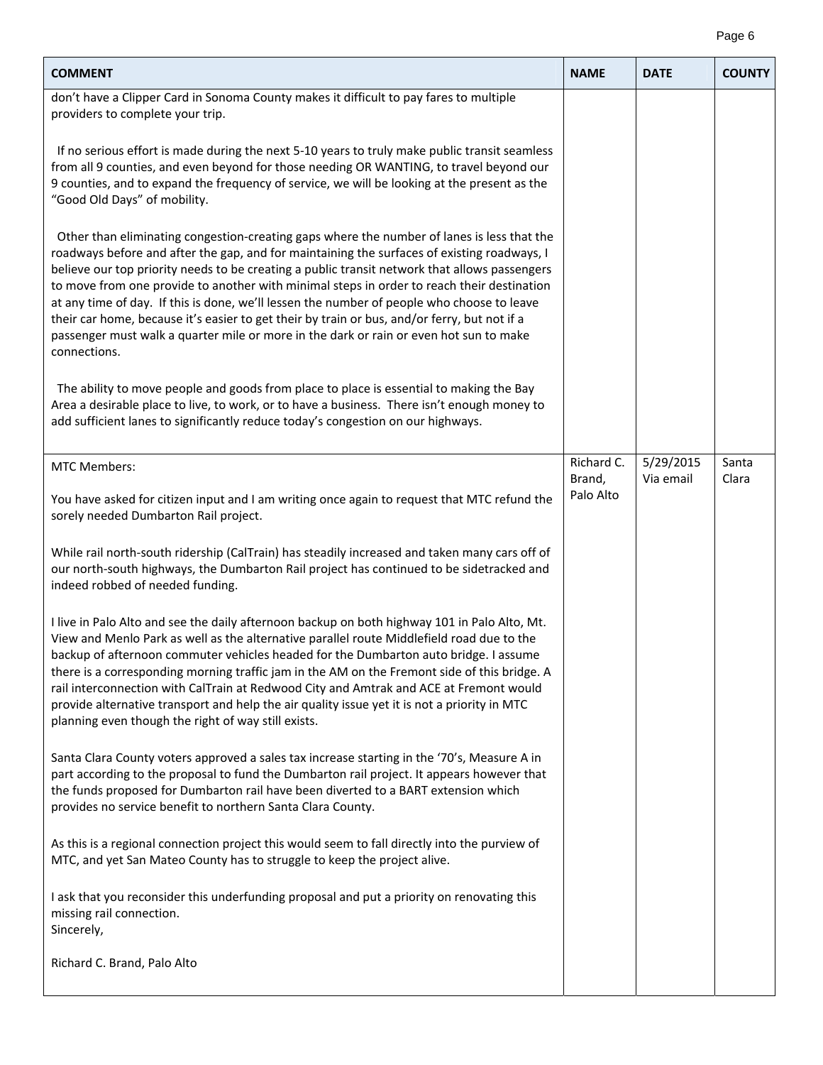|--|--|

| <b>COMMENT</b>                                                                                                                                                                                                                                                                                                                                                                                                                                                                                                                                                                                                                                                                                   | <b>NAME</b>          | <b>DATE</b>            | <b>COUNTY</b>  |
|--------------------------------------------------------------------------------------------------------------------------------------------------------------------------------------------------------------------------------------------------------------------------------------------------------------------------------------------------------------------------------------------------------------------------------------------------------------------------------------------------------------------------------------------------------------------------------------------------------------------------------------------------------------------------------------------------|----------------------|------------------------|----------------|
| don't have a Clipper Card in Sonoma County makes it difficult to pay fares to multiple<br>providers to complete your trip.                                                                                                                                                                                                                                                                                                                                                                                                                                                                                                                                                                       |                      |                        |                |
| If no serious effort is made during the next 5-10 years to truly make public transit seamless<br>from all 9 counties, and even beyond for those needing OR WANTING, to travel beyond our<br>9 counties, and to expand the frequency of service, we will be looking at the present as the<br>"Good Old Days" of mobility.                                                                                                                                                                                                                                                                                                                                                                         |                      |                        |                |
| Other than eliminating congestion-creating gaps where the number of lanes is less that the<br>roadways before and after the gap, and for maintaining the surfaces of existing roadways, I<br>believe our top priority needs to be creating a public transit network that allows passengers<br>to move from one provide to another with minimal steps in order to reach their destination<br>at any time of day. If this is done, we'll lessen the number of people who choose to leave<br>their car home, because it's easier to get their by train or bus, and/or ferry, but not if a<br>passenger must walk a quarter mile or more in the dark or rain or even hot sun to make<br>connections. |                      |                        |                |
| The ability to move people and goods from place to place is essential to making the Bay<br>Area a desirable place to live, to work, or to have a business. There isn't enough money to<br>add sufficient lanes to significantly reduce today's congestion on our highways.                                                                                                                                                                                                                                                                                                                                                                                                                       |                      |                        |                |
| <b>MTC Members:</b>                                                                                                                                                                                                                                                                                                                                                                                                                                                                                                                                                                                                                                                                              | Richard C.<br>Brand, | 5/29/2015<br>Via email | Santa<br>Clara |
| You have asked for citizen input and I am writing once again to request that MTC refund the<br>sorely needed Dumbarton Rail project.                                                                                                                                                                                                                                                                                                                                                                                                                                                                                                                                                             | Palo Alto            |                        |                |
| While rail north-south ridership (CalTrain) has steadily increased and taken many cars off of<br>our north-south highways, the Dumbarton Rail project has continued to be sidetracked and<br>indeed robbed of needed funding.                                                                                                                                                                                                                                                                                                                                                                                                                                                                    |                      |                        |                |
| I live in Palo Alto and see the daily afternoon backup on both highway 101 in Palo Alto, Mt.<br>View and Menlo Park as well as the alternative parallel route Middlefield road due to the<br>backup of afternoon commuter vehicles headed for the Dumbarton auto bridge. I assume<br>there is a corresponding morning traffic jam in the AM on the Fremont side of this bridge. A<br>rail interconnection with CalTrain at Redwood City and Amtrak and ACE at Fremont would<br>provide alternative transport and help the air quality issue yet it is not a priority in MTC<br>planning even though the right of way still exists.                                                               |                      |                        |                |
| Santa Clara County voters approved a sales tax increase starting in the '70's, Measure A in<br>part according to the proposal to fund the Dumbarton rail project. It appears however that<br>the funds proposed for Dumbarton rail have been diverted to a BART extension which<br>provides no service benefit to northern Santa Clara County.                                                                                                                                                                                                                                                                                                                                                   |                      |                        |                |
| As this is a regional connection project this would seem to fall directly into the purview of<br>MTC, and yet San Mateo County has to struggle to keep the project alive.                                                                                                                                                                                                                                                                                                                                                                                                                                                                                                                        |                      |                        |                |
| I ask that you reconsider this underfunding proposal and put a priority on renovating this<br>missing rail connection.<br>Sincerely,                                                                                                                                                                                                                                                                                                                                                                                                                                                                                                                                                             |                      |                        |                |
| Richard C. Brand, Palo Alto                                                                                                                                                                                                                                                                                                                                                                                                                                                                                                                                                                                                                                                                      |                      |                        |                |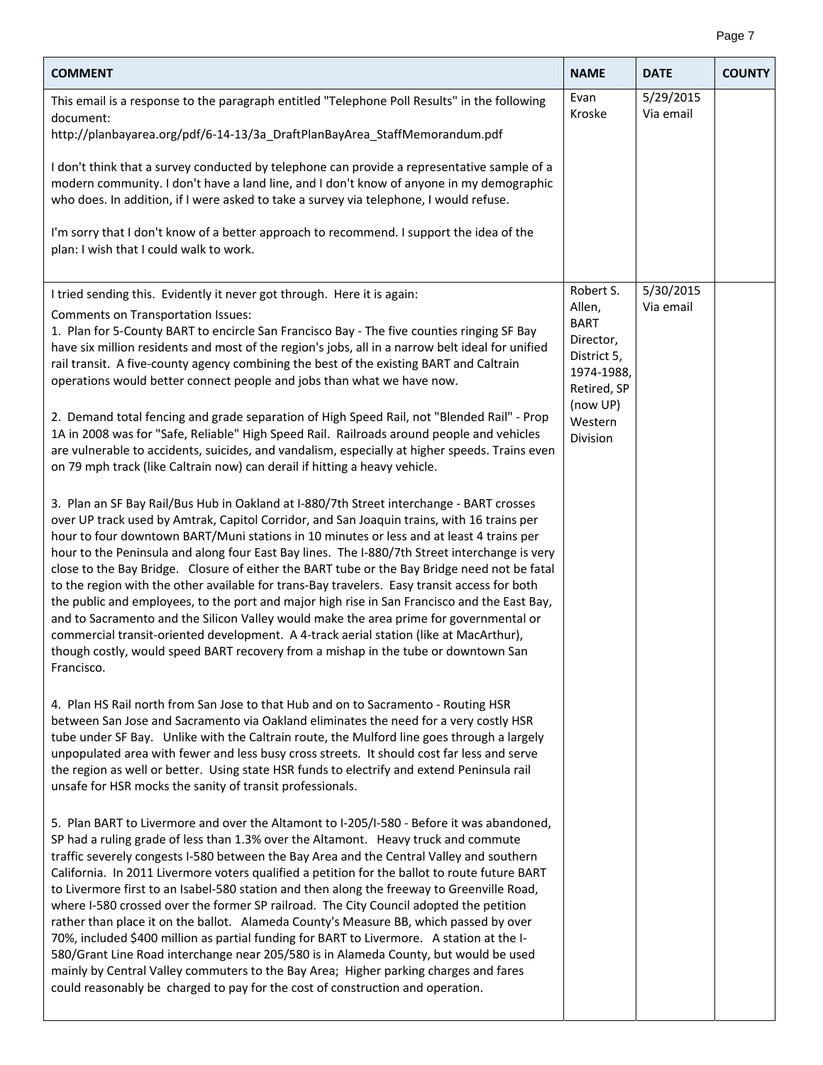## Page 7

| <b>COMMENT</b>                                                                                                                                                                                                                                                                                                                                                                                                                                                                                                                                                                                                                                                                                                                                                                                                                                                                                                                                                                                                               | <b>NAME</b>                                                                                | <b>DATE</b>            | <b>COUNTY</b> |
|------------------------------------------------------------------------------------------------------------------------------------------------------------------------------------------------------------------------------------------------------------------------------------------------------------------------------------------------------------------------------------------------------------------------------------------------------------------------------------------------------------------------------------------------------------------------------------------------------------------------------------------------------------------------------------------------------------------------------------------------------------------------------------------------------------------------------------------------------------------------------------------------------------------------------------------------------------------------------------------------------------------------------|--------------------------------------------------------------------------------------------|------------------------|---------------|
| This email is a response to the paragraph entitled "Telephone Poll Results" in the following<br>document:<br>http://planbayarea.org/pdf/6-14-13/3a_DraftPlanBayArea_StaffMemorandum.pdf                                                                                                                                                                                                                                                                                                                                                                                                                                                                                                                                                                                                                                                                                                                                                                                                                                      | Evan<br>Kroske                                                                             | 5/29/2015<br>Via email |               |
| I don't think that a survey conducted by telephone can provide a representative sample of a<br>modern community. I don't have a land line, and I don't know of anyone in my demographic<br>who does. In addition, if I were asked to take a survey via telephone, I would refuse.                                                                                                                                                                                                                                                                                                                                                                                                                                                                                                                                                                                                                                                                                                                                            |                                                                                            |                        |               |
| I'm sorry that I don't know of a better approach to recommend. I support the idea of the<br>plan: I wish that I could walk to work.                                                                                                                                                                                                                                                                                                                                                                                                                                                                                                                                                                                                                                                                                                                                                                                                                                                                                          |                                                                                            |                        |               |
| I tried sending this. Evidently it never got through. Here it is again:                                                                                                                                                                                                                                                                                                                                                                                                                                                                                                                                                                                                                                                                                                                                                                                                                                                                                                                                                      | Robert S.                                                                                  | 5/30/2015              |               |
| Comments on Transportation Issues:<br>1. Plan for 5-County BART to encircle San Francisco Bay - The five counties ringing SF Bay<br>have six million residents and most of the region's jobs, all in a narrow belt ideal for unified<br>rail transit. A five-county agency combining the best of the existing BART and Caltrain<br>operations would better connect people and jobs than what we have now.                                                                                                                                                                                                                                                                                                                                                                                                                                                                                                                                                                                                                    | Allen,<br><b>BART</b><br>Director,<br>District 5,<br>1974-1988,<br>Retired, SP<br>(now UP) | Via email              |               |
| 2. Demand total fencing and grade separation of High Speed Rail, not "Blended Rail" - Prop<br>1A in 2008 was for "Safe, Reliable" High Speed Rail. Railroads around people and vehicles<br>are vulnerable to accidents, suicides, and vandalism, especially at higher speeds. Trains even<br>on 79 mph track (like Caltrain now) can derail if hitting a heavy vehicle.                                                                                                                                                                                                                                                                                                                                                                                                                                                                                                                                                                                                                                                      | Western<br>Division                                                                        |                        |               |
| 3. Plan an SF Bay Rail/Bus Hub in Oakland at I-880/7th Street interchange - BART crosses<br>over UP track used by Amtrak, Capitol Corridor, and San Joaquin trains, with 16 trains per<br>hour to four downtown BART/Muni stations in 10 minutes or less and at least 4 trains per<br>hour to the Peninsula and along four East Bay lines. The I-880/7th Street interchange is very<br>close to the Bay Bridge. Closure of either the BART tube or the Bay Bridge need not be fatal<br>to the region with the other available for trans-Bay travelers. Easy transit access for both<br>the public and employees, to the port and major high rise in San Francisco and the East Bay,<br>and to Sacramento and the Silicon Valley would make the area prime for governmental or<br>commercial transit-oriented development. A 4-track aerial station (like at MacArthur),<br>though costly, would speed BART recovery from a mishap in the tube or downtown San<br>Francisco.                                                  |                                                                                            |                        |               |
| 4. Plan HS Rail north from San Jose to that Hub and on to Sacramento - Routing HSR<br>between San Jose and Sacramento via Oakland eliminates the need for a very costly HSR<br>tube under SF Bay. Unlike with the Caltrain route, the Mulford line goes through a largely<br>unpopulated area with fewer and less busy cross streets. It should cost far less and serve<br>the region as well or better. Using state HSR funds to electrify and extend Peninsula rail<br>unsafe for HSR mocks the sanity of transit professionals.                                                                                                                                                                                                                                                                                                                                                                                                                                                                                           |                                                                                            |                        |               |
| 5. Plan BART to Livermore and over the Altamont to I-205/I-580 - Before it was abandoned,<br>SP had a ruling grade of less than 1.3% over the Altamont. Heavy truck and commute<br>traffic severely congests I-580 between the Bay Area and the Central Valley and southern<br>California. In 2011 Livermore voters qualified a petition for the ballot to route future BART<br>to Livermore first to an Isabel-580 station and then along the freeway to Greenville Road,<br>where I-580 crossed over the former SP railroad. The City Council adopted the petition<br>rather than place it on the ballot. Alameda County's Measure BB, which passed by over<br>70%, included \$400 million as partial funding for BART to Livermore. A station at the I-<br>580/Grant Line Road interchange near 205/580 is in Alameda County, but would be used<br>mainly by Central Valley commuters to the Bay Area; Higher parking charges and fares<br>could reasonably be charged to pay for the cost of construction and operation. |                                                                                            |                        |               |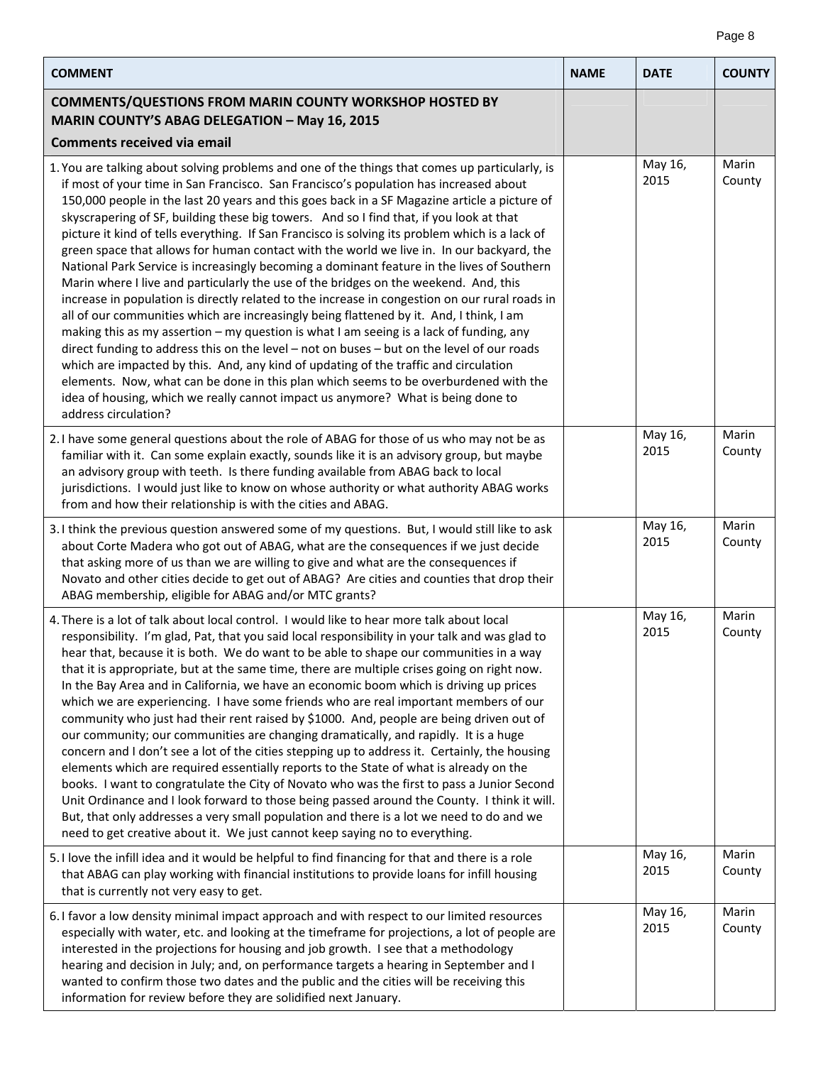| <b>COMMENT</b>                                                                                                                                                                                                                                                                                                                                                                                                                                                                                                                                                                                                                                                                                                                                                                                                                                                                                                                                                                                                                                                                                                                                                                                                                                                                                                                                                                                                                                             | <b>NAME</b> | <b>DATE</b>     | <b>COUNTY</b>   |
|------------------------------------------------------------------------------------------------------------------------------------------------------------------------------------------------------------------------------------------------------------------------------------------------------------------------------------------------------------------------------------------------------------------------------------------------------------------------------------------------------------------------------------------------------------------------------------------------------------------------------------------------------------------------------------------------------------------------------------------------------------------------------------------------------------------------------------------------------------------------------------------------------------------------------------------------------------------------------------------------------------------------------------------------------------------------------------------------------------------------------------------------------------------------------------------------------------------------------------------------------------------------------------------------------------------------------------------------------------------------------------------------------------------------------------------------------------|-------------|-----------------|-----------------|
| <b>COMMENTS/QUESTIONS FROM MARIN COUNTY WORKSHOP HOSTED BY</b><br><b>MARIN COUNTY'S ABAG DELEGATION - May 16, 2015</b>                                                                                                                                                                                                                                                                                                                                                                                                                                                                                                                                                                                                                                                                                                                                                                                                                                                                                                                                                                                                                                                                                                                                                                                                                                                                                                                                     |             |                 |                 |
| <b>Comments received via email</b>                                                                                                                                                                                                                                                                                                                                                                                                                                                                                                                                                                                                                                                                                                                                                                                                                                                                                                                                                                                                                                                                                                                                                                                                                                                                                                                                                                                                                         |             |                 |                 |
| 1. You are talking about solving problems and one of the things that comes up particularly, is<br>if most of your time in San Francisco. San Francisco's population has increased about<br>150,000 people in the last 20 years and this goes back in a SF Magazine article a picture of<br>skyscrapering of SF, building these big towers. And so I find that, if you look at that<br>picture it kind of tells everything. If San Francisco is solving its problem which is a lack of<br>green space that allows for human contact with the world we live in. In our backyard, the<br>National Park Service is increasingly becoming a dominant feature in the lives of Southern<br>Marin where I live and particularly the use of the bridges on the weekend. And, this<br>increase in population is directly related to the increase in congestion on our rural roads in<br>all of our communities which are increasingly being flattened by it. And, I think, I am<br>making this as my assertion - my question is what I am seeing is a lack of funding, any<br>direct funding to address this on the level - not on buses - but on the level of our roads<br>which are impacted by this. And, any kind of updating of the traffic and circulation<br>elements. Now, what can be done in this plan which seems to be overburdened with the<br>idea of housing, which we really cannot impact us anymore? What is being done to<br>address circulation? |             | May 16,<br>2015 | Marin<br>County |
| 2. I have some general questions about the role of ABAG for those of us who may not be as<br>familiar with it. Can some explain exactly, sounds like it is an advisory group, but maybe<br>an advisory group with teeth. Is there funding available from ABAG back to local<br>jurisdictions. I would just like to know on whose authority or what authority ABAG works<br>from and how their relationship is with the cities and ABAG.                                                                                                                                                                                                                                                                                                                                                                                                                                                                                                                                                                                                                                                                                                                                                                                                                                                                                                                                                                                                                    |             | May 16,<br>2015 | Marin<br>County |
| 3. I think the previous question answered some of my questions. But, I would still like to ask<br>about Corte Madera who got out of ABAG, what are the consequences if we just decide<br>that asking more of us than we are willing to give and what are the consequences if<br>Novato and other cities decide to get out of ABAG? Are cities and counties that drop their<br>ABAG membership, eligible for ABAG and/or MTC grants?                                                                                                                                                                                                                                                                                                                                                                                                                                                                                                                                                                                                                                                                                                                                                                                                                                                                                                                                                                                                                        |             | May 16,<br>2015 | Marin<br>County |
| 4. There is a lot of talk about local control. I would like to hear more talk about local<br>responsibility. I'm glad, Pat, that you said local responsibility in your talk and was glad to<br>hear that, because it is both. We do want to be able to shape our communities in a way<br>that it is appropriate, but at the same time, there are multiple crises going on right now.<br>In the Bay Area and in California, we have an economic boom which is driving up prices<br>which we are experiencing. I have some friends who are real important members of our<br>community who just had their rent raised by \$1000. And, people are being driven out of<br>our community; our communities are changing dramatically, and rapidly. It is a huge<br>concern and I don't see a lot of the cities stepping up to address it. Certainly, the housing<br>elements which are required essentially reports to the State of what is already on the<br>books. I want to congratulate the City of Novato who was the first to pass a Junior Second<br>Unit Ordinance and I look forward to those being passed around the County. I think it will.<br>But, that only addresses a very small population and there is a lot we need to do and we<br>need to get creative about it. We just cannot keep saying no to everything.                                                                                                                                |             | May 16,<br>2015 | Marin<br>County |
| 5. I love the infill idea and it would be helpful to find financing for that and there is a role<br>that ABAG can play working with financial institutions to provide loans for infill housing<br>that is currently not very easy to get.                                                                                                                                                                                                                                                                                                                                                                                                                                                                                                                                                                                                                                                                                                                                                                                                                                                                                                                                                                                                                                                                                                                                                                                                                  |             | May 16,<br>2015 | Marin<br>County |
| 6. I favor a low density minimal impact approach and with respect to our limited resources<br>especially with water, etc. and looking at the timeframe for projections, a lot of people are<br>interested in the projections for housing and job growth. I see that a methodology<br>hearing and decision in July; and, on performance targets a hearing in September and I<br>wanted to confirm those two dates and the public and the cities will be receiving this<br>information for review before they are solidified next January.                                                                                                                                                                                                                                                                                                                                                                                                                                                                                                                                                                                                                                                                                                                                                                                                                                                                                                                   |             | May 16,<br>2015 | Marin<br>County |

Page 8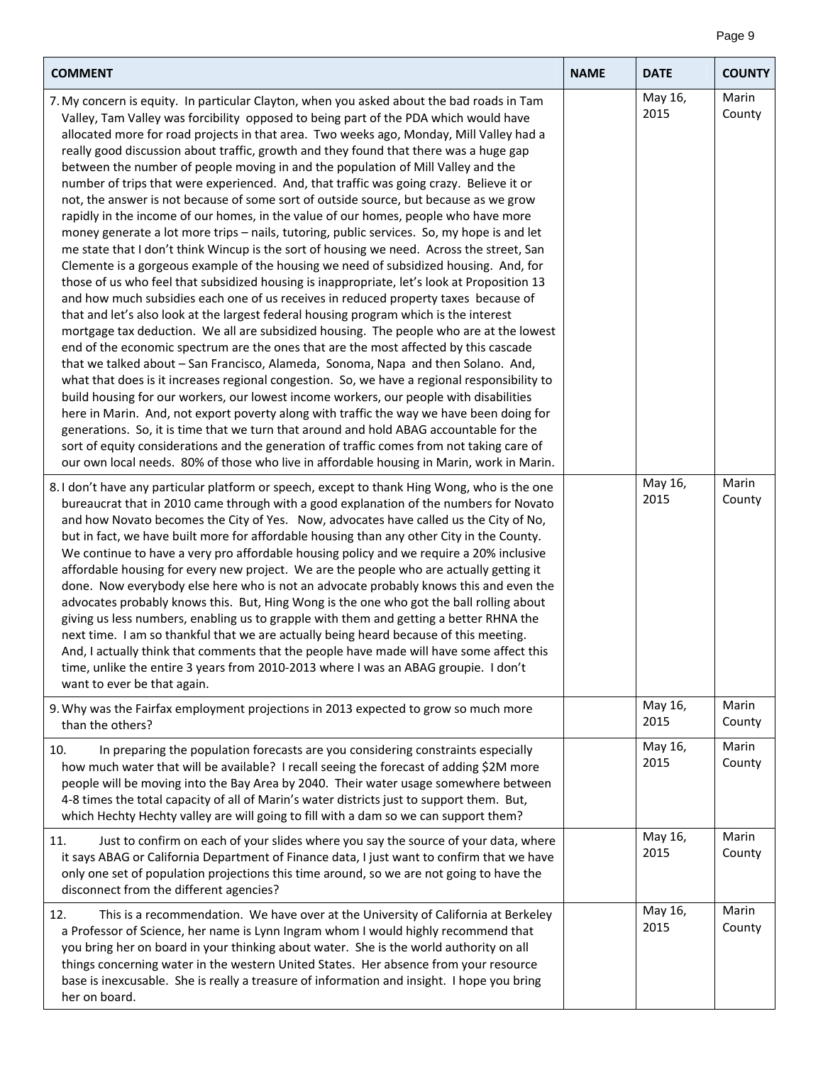| <b>COMMENT</b>                                                                                                                                                                                                                                                                                                                                                                                                                                                                                                                                                                                                                                                                                                                                                                                                                                                                                                                                                                                                                                                                                                                                                                                                                                                                                                                                                                                                                                                                                                                                                                                                                                                                                                                                                                                                                                                                                                                                                                                                                                                                                                                                            | <b>NAME</b> | <b>DATE</b>     | <b>COUNTY</b>   |
|-----------------------------------------------------------------------------------------------------------------------------------------------------------------------------------------------------------------------------------------------------------------------------------------------------------------------------------------------------------------------------------------------------------------------------------------------------------------------------------------------------------------------------------------------------------------------------------------------------------------------------------------------------------------------------------------------------------------------------------------------------------------------------------------------------------------------------------------------------------------------------------------------------------------------------------------------------------------------------------------------------------------------------------------------------------------------------------------------------------------------------------------------------------------------------------------------------------------------------------------------------------------------------------------------------------------------------------------------------------------------------------------------------------------------------------------------------------------------------------------------------------------------------------------------------------------------------------------------------------------------------------------------------------------------------------------------------------------------------------------------------------------------------------------------------------------------------------------------------------------------------------------------------------------------------------------------------------------------------------------------------------------------------------------------------------------------------------------------------------------------------------------------------------|-------------|-----------------|-----------------|
| 7. My concern is equity. In particular Clayton, when you asked about the bad roads in Tam<br>Valley, Tam Valley was forcibility opposed to being part of the PDA which would have<br>allocated more for road projects in that area. Two weeks ago, Monday, Mill Valley had a<br>really good discussion about traffic, growth and they found that there was a huge gap<br>between the number of people moving in and the population of Mill Valley and the<br>number of trips that were experienced. And, that traffic was going crazy. Believe it or<br>not, the answer is not because of some sort of outside source, but because as we grow<br>rapidly in the income of our homes, in the value of our homes, people who have more<br>money generate a lot more trips - nails, tutoring, public services. So, my hope is and let<br>me state that I don't think Wincup is the sort of housing we need. Across the street, San<br>Clemente is a gorgeous example of the housing we need of subsidized housing. And, for<br>those of us who feel that subsidized housing is inappropriate, let's look at Proposition 13<br>and how much subsidies each one of us receives in reduced property taxes because of<br>that and let's also look at the largest federal housing program which is the interest<br>mortgage tax deduction. We all are subsidized housing. The people who are at the lowest<br>end of the economic spectrum are the ones that are the most affected by this cascade<br>that we talked about - San Francisco, Alameda, Sonoma, Napa and then Solano. And,<br>what that does is it increases regional congestion. So, we have a regional responsibility to<br>build housing for our workers, our lowest income workers, our people with disabilities<br>here in Marin. And, not export poverty along with traffic the way we have been doing for<br>generations. So, it is time that we turn that around and hold ABAG accountable for the<br>sort of equity considerations and the generation of traffic comes from not taking care of<br>our own local needs. 80% of those who live in affordable housing in Marin, work in Marin. |             | May 16,<br>2015 | Marin<br>County |
| 8. I don't have any particular platform or speech, except to thank Hing Wong, who is the one<br>bureaucrat that in 2010 came through with a good explanation of the numbers for Novato<br>and how Novato becomes the City of Yes. Now, advocates have called us the City of No,<br>but in fact, we have built more for affordable housing than any other City in the County.<br>We continue to have a very pro affordable housing policy and we require a 20% inclusive<br>affordable housing for every new project. We are the people who are actually getting it<br>done. Now everybody else here who is not an advocate probably knows this and even the<br>advocates probably knows this. But, Hing Wong is the one who got the ball rolling about<br>giving us less numbers, enabling us to grapple with them and getting a better RHNA the<br>next time. I am so thankful that we are actually being heard because of this meeting.<br>And, I actually think that comments that the people have made will have some affect this<br>time, unlike the entire 3 years from 2010-2013 where I was an ABAG groupie. I don't<br>want to ever be that again.                                                                                                                                                                                                                                                                                                                                                                                                                                                                                                                                                                                                                                                                                                                                                                                                                                                                                                                                                                                               |             | May 16,<br>2015 | Marin<br>County |
| 9. Why was the Fairfax employment projections in 2013 expected to grow so much more<br>than the others?                                                                                                                                                                                                                                                                                                                                                                                                                                                                                                                                                                                                                                                                                                                                                                                                                                                                                                                                                                                                                                                                                                                                                                                                                                                                                                                                                                                                                                                                                                                                                                                                                                                                                                                                                                                                                                                                                                                                                                                                                                                   |             | May 16,<br>2015 | Marin<br>County |
| In preparing the population forecasts are you considering constraints especially<br>10.<br>how much water that will be available? I recall seeing the forecast of adding \$2M more<br>people will be moving into the Bay Area by 2040. Their water usage somewhere between<br>4-8 times the total capacity of all of Marin's water districts just to support them. But,<br>which Hechty Hechty valley are will going to fill with a dam so we can support them?                                                                                                                                                                                                                                                                                                                                                                                                                                                                                                                                                                                                                                                                                                                                                                                                                                                                                                                                                                                                                                                                                                                                                                                                                                                                                                                                                                                                                                                                                                                                                                                                                                                                                           |             | May 16,<br>2015 | Marin<br>County |
| 11.<br>Just to confirm on each of your slides where you say the source of your data, where<br>it says ABAG or California Department of Finance data, I just want to confirm that we have<br>only one set of population projections this time around, so we are not going to have the<br>disconnect from the different agencies?                                                                                                                                                                                                                                                                                                                                                                                                                                                                                                                                                                                                                                                                                                                                                                                                                                                                                                                                                                                                                                                                                                                                                                                                                                                                                                                                                                                                                                                                                                                                                                                                                                                                                                                                                                                                                           |             | May 16,<br>2015 | Marin<br>County |
| This is a recommendation. We have over at the University of California at Berkeley<br>12.<br>a Professor of Science, her name is Lynn Ingram whom I would highly recommend that<br>you bring her on board in your thinking about water. She is the world authority on all<br>things concerning water in the western United States. Her absence from your resource<br>base is inexcusable. She is really a treasure of information and insight. I hope you bring                                                                                                                                                                                                                                                                                                                                                                                                                                                                                                                                                                                                                                                                                                                                                                                                                                                                                                                                                                                                                                                                                                                                                                                                                                                                                                                                                                                                                                                                                                                                                                                                                                                                                           |             | May 16,<br>2015 | Marin<br>County |

her on board.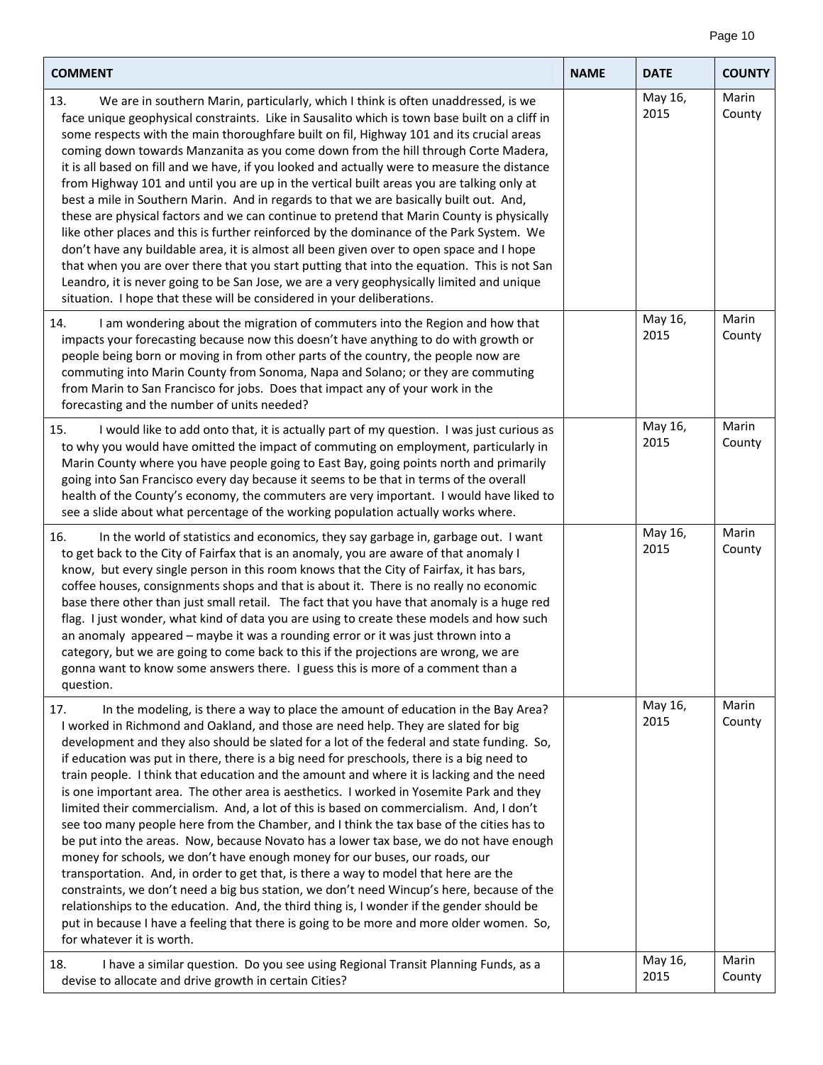| <b>COMMENT</b>                                                                                                                                                                                                                                                                                                                                                                                                                                                                                                                                                                                                                                                                                                                                                                                                                                                                                                                                                                                                                                                                                                                                                                                                                                                                                                                              | <b>NAME</b> | <b>DATE</b>     | <b>COUNTY</b>   |
|---------------------------------------------------------------------------------------------------------------------------------------------------------------------------------------------------------------------------------------------------------------------------------------------------------------------------------------------------------------------------------------------------------------------------------------------------------------------------------------------------------------------------------------------------------------------------------------------------------------------------------------------------------------------------------------------------------------------------------------------------------------------------------------------------------------------------------------------------------------------------------------------------------------------------------------------------------------------------------------------------------------------------------------------------------------------------------------------------------------------------------------------------------------------------------------------------------------------------------------------------------------------------------------------------------------------------------------------|-------------|-----------------|-----------------|
| 13.<br>We are in southern Marin, particularly, which I think is often unaddressed, is we<br>face unique geophysical constraints. Like in Sausalito which is town base built on a cliff in<br>some respects with the main thoroughfare built on fil, Highway 101 and its crucial areas<br>coming down towards Manzanita as you come down from the hill through Corte Madera,<br>it is all based on fill and we have, if you looked and actually were to measure the distance<br>from Highway 101 and until you are up in the vertical built areas you are talking only at<br>best a mile in Southern Marin. And in regards to that we are basically built out. And,<br>these are physical factors and we can continue to pretend that Marin County is physically<br>like other places and this is further reinforced by the dominance of the Park System. We<br>don't have any buildable area, it is almost all been given over to open space and I hope<br>that when you are over there that you start putting that into the equation. This is not San<br>Leandro, it is never going to be San Jose, we are a very geophysically limited and unique<br>situation. I hope that these will be considered in your deliberations.                                                                                                               |             | May 16,<br>2015 | Marin<br>County |
| I am wondering about the migration of commuters into the Region and how that<br>14.<br>impacts your forecasting because now this doesn't have anything to do with growth or<br>people being born or moving in from other parts of the country, the people now are<br>commuting into Marin County from Sonoma, Napa and Solano; or they are commuting<br>from Marin to San Francisco for jobs. Does that impact any of your work in the<br>forecasting and the number of units needed?                                                                                                                                                                                                                                                                                                                                                                                                                                                                                                                                                                                                                                                                                                                                                                                                                                                       |             | May 16,<br>2015 | Marin<br>County |
| I would like to add onto that, it is actually part of my question. I was just curious as<br>15.<br>to why you would have omitted the impact of commuting on employment, particularly in<br>Marin County where you have people going to East Bay, going points north and primarily<br>going into San Francisco every day because it seems to be that in terms of the overall<br>health of the County's economy, the commuters are very important. I would have liked to<br>see a slide about what percentage of the working population actually works where.                                                                                                                                                                                                                                                                                                                                                                                                                                                                                                                                                                                                                                                                                                                                                                                 |             | May 16,<br>2015 | Marin<br>County |
| 16.<br>In the world of statistics and economics, they say garbage in, garbage out. I want<br>to get back to the City of Fairfax that is an anomaly, you are aware of that anomaly I<br>know, but every single person in this room knows that the City of Fairfax, it has bars,<br>coffee houses, consignments shops and that is about it. There is no really no economic<br>base there other than just small retail. The fact that you have that anomaly is a huge red<br>flag. I just wonder, what kind of data you are using to create these models and how such<br>an anomaly appeared - maybe it was a rounding error or it was just thrown into a<br>category, but we are going to come back to this if the projections are wrong, we are<br>gonna want to know some answers there. I guess this is more of a comment than a<br>question.                                                                                                                                                                                                                                                                                                                                                                                                                                                                                              |             | May 16,<br>2015 | Marin<br>County |
| In the modeling, is there a way to place the amount of education in the Bay Area?<br>17.<br>I worked in Richmond and Oakland, and those are need help. They are slated for big<br>development and they also should be slated for a lot of the federal and state funding. So,<br>if education was put in there, there is a big need for preschools, there is a big need to<br>train people. I think that education and the amount and where it is lacking and the need<br>is one important area. The other area is aesthetics. I worked in Yosemite Park and they<br>limited their commercialism. And, a lot of this is based on commercialism. And, I don't<br>see too many people here from the Chamber, and I think the tax base of the cities has to<br>be put into the areas. Now, because Novato has a lower tax base, we do not have enough<br>money for schools, we don't have enough money for our buses, our roads, our<br>transportation. And, in order to get that, is there a way to model that here are the<br>constraints, we don't need a big bus station, we don't need Wincup's here, because of the<br>relationships to the education. And, the third thing is, I wonder if the gender should be<br>put in because I have a feeling that there is going to be more and more older women. So,<br>for whatever it is worth. |             | May 16,<br>2015 | Marin<br>County |
| 18.<br>I have a similar question. Do you see using Regional Transit Planning Funds, as a<br>devise to allocate and drive growth in certain Cities?                                                                                                                                                                                                                                                                                                                                                                                                                                                                                                                                                                                                                                                                                                                                                                                                                                                                                                                                                                                                                                                                                                                                                                                          |             | May 16,<br>2015 | Marin<br>County |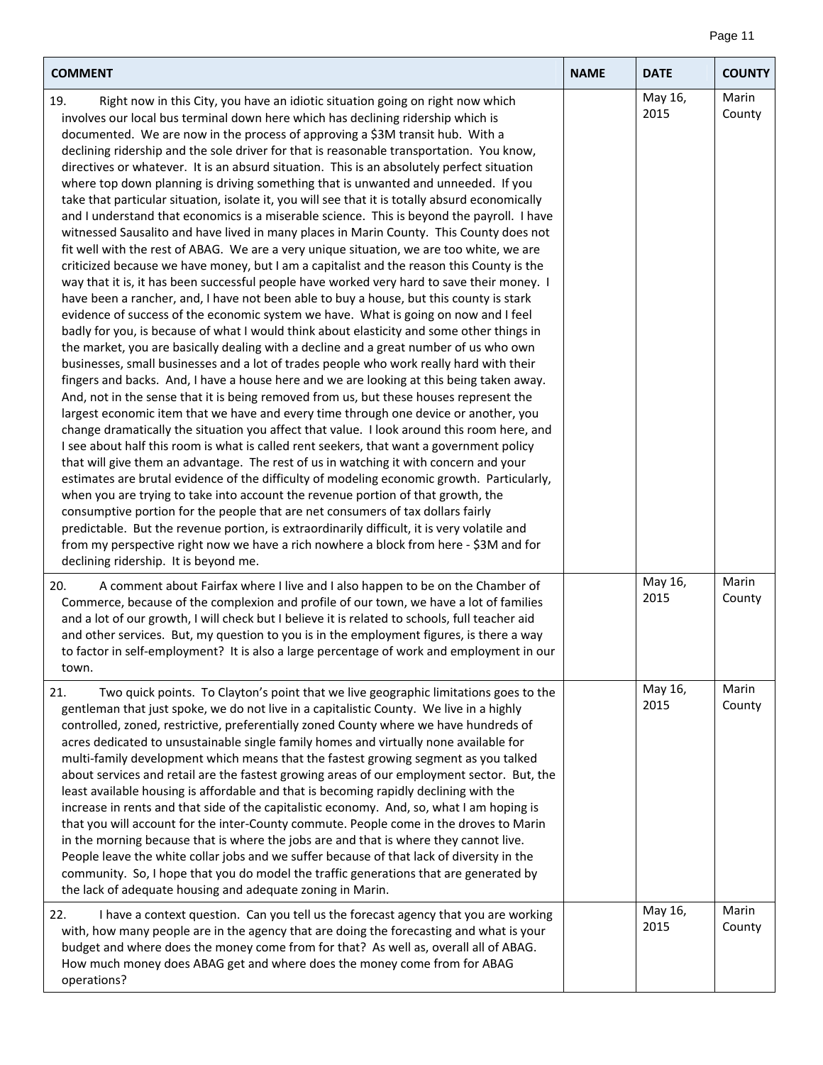## Page 11

| <b>COMMENT</b>                                                                                                                                                                                                                                                                                                                                                                                                                                                                                                                                                                                                                                                                                                                                                                                                                                                                                                                                                                                                                                                                                                                                                                                                                                                                                                                                                                                                                                                                                                                                                                                                                                                                                                                                                                                                                                                                                                                                                                                                                                                                                                                                                                                                                                                                                                                                                                                                                                                                                                                                                                                                                                                          | <b>NAME</b> | <b>DATE</b>     | <b>COUNTY</b>   |
|-------------------------------------------------------------------------------------------------------------------------------------------------------------------------------------------------------------------------------------------------------------------------------------------------------------------------------------------------------------------------------------------------------------------------------------------------------------------------------------------------------------------------------------------------------------------------------------------------------------------------------------------------------------------------------------------------------------------------------------------------------------------------------------------------------------------------------------------------------------------------------------------------------------------------------------------------------------------------------------------------------------------------------------------------------------------------------------------------------------------------------------------------------------------------------------------------------------------------------------------------------------------------------------------------------------------------------------------------------------------------------------------------------------------------------------------------------------------------------------------------------------------------------------------------------------------------------------------------------------------------------------------------------------------------------------------------------------------------------------------------------------------------------------------------------------------------------------------------------------------------------------------------------------------------------------------------------------------------------------------------------------------------------------------------------------------------------------------------------------------------------------------------------------------------------------------------------------------------------------------------------------------------------------------------------------------------------------------------------------------------------------------------------------------------------------------------------------------------------------------------------------------------------------------------------------------------------------------------------------------------------------------------------------------------|-------------|-----------------|-----------------|
| 19.<br>Right now in this City, you have an idiotic situation going on right now which<br>involves our local bus terminal down here which has declining ridership which is<br>documented. We are now in the process of approving a \$3M transit hub. With a<br>declining ridership and the sole driver for that is reasonable transportation. You know,<br>directives or whatever. It is an absurd situation. This is an absolutely perfect situation<br>where top down planning is driving something that is unwanted and unneeded. If you<br>take that particular situation, isolate it, you will see that it is totally absurd economically<br>and I understand that economics is a miserable science. This is beyond the payroll. I have<br>witnessed Sausalito and have lived in many places in Marin County. This County does not<br>fit well with the rest of ABAG. We are a very unique situation, we are too white, we are<br>criticized because we have money, but I am a capitalist and the reason this County is the<br>way that it is, it has been successful people have worked very hard to save their money. I<br>have been a rancher, and, I have not been able to buy a house, but this county is stark<br>evidence of success of the economic system we have. What is going on now and I feel<br>badly for you, is because of what I would think about elasticity and some other things in<br>the market, you are basically dealing with a decline and a great number of us who own<br>businesses, small businesses and a lot of trades people who work really hard with their<br>fingers and backs. And, I have a house here and we are looking at this being taken away.<br>And, not in the sense that it is being removed from us, but these houses represent the<br>largest economic item that we have and every time through one device or another, you<br>change dramatically the situation you affect that value. I look around this room here, and<br>I see about half this room is what is called rent seekers, that want a government policy<br>that will give them an advantage. The rest of us in watching it with concern and your<br>estimates are brutal evidence of the difficulty of modeling economic growth. Particularly,<br>when you are trying to take into account the revenue portion of that growth, the<br>consumptive portion for the people that are net consumers of tax dollars fairly<br>predictable. But the revenue portion, is extraordinarily difficult, it is very volatile and<br>from my perspective right now we have a rich nowhere a block from here - \$3M and for<br>declining ridership. It is beyond me. |             | May 16,<br>2015 | Marin<br>County |
| 20.<br>A comment about Fairfax where I live and I also happen to be on the Chamber of<br>Commerce, because of the complexion and profile of our town, we have a lot of families<br>and a lot of our growth, I will check but I believe it is related to schools, full teacher aid<br>and other services. But, my question to you is in the employment figures, is there a way<br>to factor in self-employment? It is also a large percentage of work and employment in our<br>town.                                                                                                                                                                                                                                                                                                                                                                                                                                                                                                                                                                                                                                                                                                                                                                                                                                                                                                                                                                                                                                                                                                                                                                                                                                                                                                                                                                                                                                                                                                                                                                                                                                                                                                                                                                                                                                                                                                                                                                                                                                                                                                                                                                                     |             | May 16,<br>2015 | Marin<br>County |
| 21.<br>Two quick points. To Clayton's point that we live geographic limitations goes to the<br>gentleman that just spoke, we do not live in a capitalistic County. We live in a highly<br>controlled, zoned, restrictive, preferentially zoned County where we have hundreds of<br>acres dedicated to unsustainable single family homes and virtually none available for<br>multi-family development which means that the fastest growing segment as you talked<br>about services and retail are the fastest growing areas of our employment sector. But, the<br>least available housing is affordable and that is becoming rapidly declining with the<br>increase in rents and that side of the capitalistic economy. And, so, what I am hoping is<br>that you will account for the inter-County commute. People come in the droves to Marin<br>in the morning because that is where the jobs are and that is where they cannot live.<br>People leave the white collar jobs and we suffer because of that lack of diversity in the<br>community. So, I hope that you do model the traffic generations that are generated by<br>the lack of adequate housing and adequate zoning in Marin.                                                                                                                                                                                                                                                                                                                                                                                                                                                                                                                                                                                                                                                                                                                                                                                                                                                                                                                                                                                                                                                                                                                                                                                                                                                                                                                                                                                                                                                                              |             | May 16,<br>2015 | Marin<br>County |
| 22.<br>I have a context question. Can you tell us the forecast agency that you are working<br>with, how many people are in the agency that are doing the forecasting and what is your<br>budget and where does the money come from for that? As well as, overall all of ABAG.<br>How much money does ABAG get and where does the money come from for ABAG<br>operations?                                                                                                                                                                                                                                                                                                                                                                                                                                                                                                                                                                                                                                                                                                                                                                                                                                                                                                                                                                                                                                                                                                                                                                                                                                                                                                                                                                                                                                                                                                                                                                                                                                                                                                                                                                                                                                                                                                                                                                                                                                                                                                                                                                                                                                                                                                |             | May 16,<br>2015 | Marin<br>County |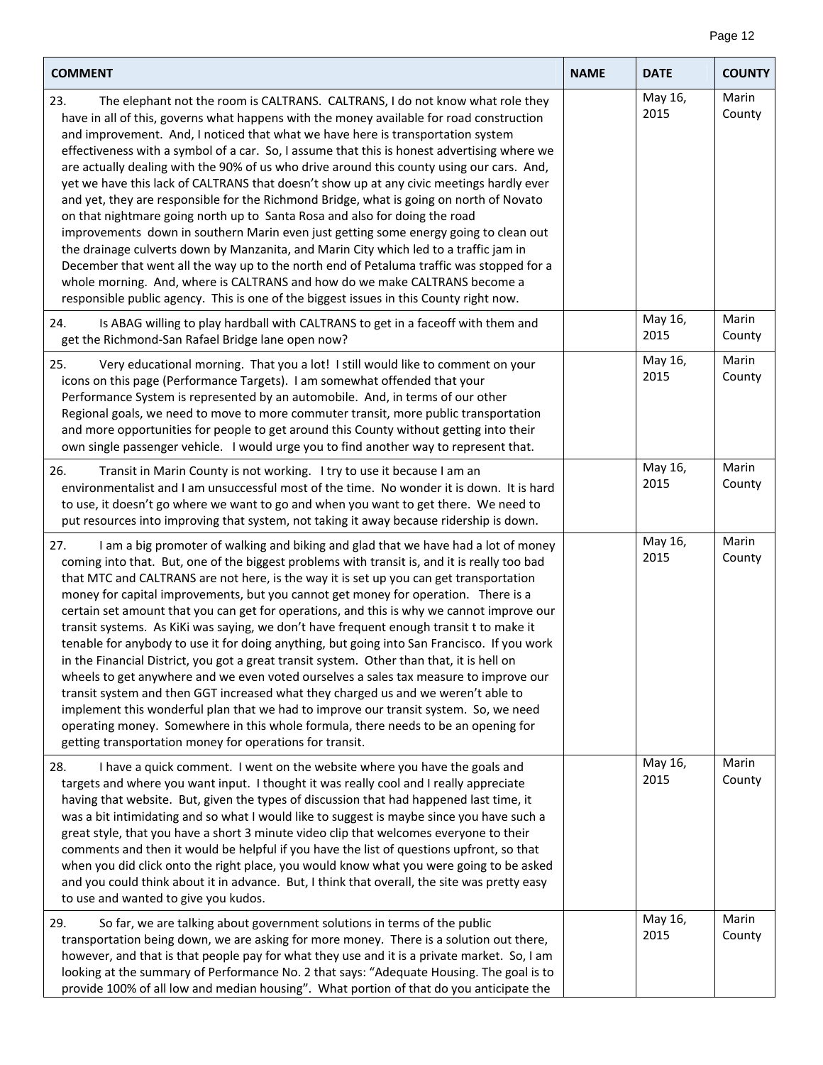$\overline{\phantom{a}}$ 

| <b>COMMENT</b>                                                                                                                                                                                                                                                                                                                                                                                                                                                                                                                                                                                                                                                                                                                                                                                                                                                                                                                                                                                                                                                                                                                                                                            | <b>NAME</b> | <b>DATE</b>     | <b>COUNTY</b>   |
|-------------------------------------------------------------------------------------------------------------------------------------------------------------------------------------------------------------------------------------------------------------------------------------------------------------------------------------------------------------------------------------------------------------------------------------------------------------------------------------------------------------------------------------------------------------------------------------------------------------------------------------------------------------------------------------------------------------------------------------------------------------------------------------------------------------------------------------------------------------------------------------------------------------------------------------------------------------------------------------------------------------------------------------------------------------------------------------------------------------------------------------------------------------------------------------------|-------------|-----------------|-----------------|
| 23.<br>The elephant not the room is CALTRANS. CALTRANS, I do not know what role they<br>have in all of this, governs what happens with the money available for road construction<br>and improvement. And, I noticed that what we have here is transportation system<br>effectiveness with a symbol of a car. So, I assume that this is honest advertising where we<br>are actually dealing with the 90% of us who drive around this county using our cars. And,<br>yet we have this lack of CALTRANS that doesn't show up at any civic meetings hardly ever<br>and yet, they are responsible for the Richmond Bridge, what is going on north of Novato<br>on that nightmare going north up to Santa Rosa and also for doing the road<br>improvements down in southern Marin even just getting some energy going to clean out<br>the drainage culverts down by Manzanita, and Marin City which led to a traffic jam in<br>December that went all the way up to the north end of Petaluma traffic was stopped for a<br>whole morning. And, where is CALTRANS and how do we make CALTRANS become a<br>responsible public agency. This is one of the biggest issues in this County right now. |             | May 16,<br>2015 | Marin<br>County |
| Is ABAG willing to play hardball with CALTRANS to get in a faceoff with them and<br>24.<br>get the Richmond-San Rafael Bridge lane open now?                                                                                                                                                                                                                                                                                                                                                                                                                                                                                                                                                                                                                                                                                                                                                                                                                                                                                                                                                                                                                                              |             | May 16,<br>2015 | Marin<br>County |
| 25.<br>Very educational morning. That you a lot! I still would like to comment on your<br>icons on this page (Performance Targets). I am somewhat offended that your<br>Performance System is represented by an automobile. And, in terms of our other<br>Regional goals, we need to move to more commuter transit, more public transportation<br>and more opportunities for people to get around this County without getting into their<br>own single passenger vehicle. I would urge you to find another way to represent that.                                                                                                                                                                                                                                                                                                                                                                                                                                                                                                                                                                                                                                                         |             | May 16,<br>2015 | Marin<br>County |
| 26.<br>Transit in Marin County is not working. I try to use it because I am an<br>environmentalist and I am unsuccessful most of the time. No wonder it is down. It is hard<br>to use, it doesn't go where we want to go and when you want to get there. We need to<br>put resources into improving that system, not taking it away because ridership is down.                                                                                                                                                                                                                                                                                                                                                                                                                                                                                                                                                                                                                                                                                                                                                                                                                            |             | May 16,<br>2015 | Marin<br>County |
| I am a big promoter of walking and biking and glad that we have had a lot of money<br>27.<br>coming into that. But, one of the biggest problems with transit is, and it is really too bad<br>that MTC and CALTRANS are not here, is the way it is set up you can get transportation<br>money for capital improvements, but you cannot get money for operation. There is a<br>certain set amount that you can get for operations, and this is why we cannot improve our<br>transit systems. As KiKi was saying, we don't have frequent enough transit t to make it<br>tenable for anybody to use it for doing anything, but going into San Francisco. If you work<br>in the Financial District, you got a great transit system. Other than that, it is hell on<br>wheels to get anywhere and we even voted ourselves a sales tax measure to improve our<br>transit system and then GGT increased what they charged us and we weren't able to<br>implement this wonderful plan that we had to improve our transit system. So, we need<br>operating money. Somewhere in this whole formula, there needs to be an opening for<br>getting transportation money for operations for transit.     |             | May 16,<br>2015 | Marin<br>County |
| I have a quick comment. I went on the website where you have the goals and<br>28.<br>targets and where you want input. I thought it was really cool and I really appreciate<br>having that website. But, given the types of discussion that had happened last time, it<br>was a bit intimidating and so what I would like to suggest is maybe since you have such a<br>great style, that you have a short 3 minute video clip that welcomes everyone to their<br>comments and then it would be helpful if you have the list of questions upfront, so that<br>when you did click onto the right place, you would know what you were going to be asked<br>and you could think about it in advance. But, I think that overall, the site was pretty easy<br>to use and wanted to give you kudos.                                                                                                                                                                                                                                                                                                                                                                                              |             | May 16,<br>2015 | Marin<br>County |
| So far, we are talking about government solutions in terms of the public<br>29.<br>transportation being down, we are asking for more money. There is a solution out there,<br>however, and that is that people pay for what they use and it is a private market. So, I am<br>looking at the summary of Performance No. 2 that says: "Adequate Housing. The goal is to<br>provide 100% of all low and median housing". What portion of that do you anticipate the                                                                                                                                                                                                                                                                                                                                                                                                                                                                                                                                                                                                                                                                                                                          |             | May 16,<br>2015 | Marin<br>County |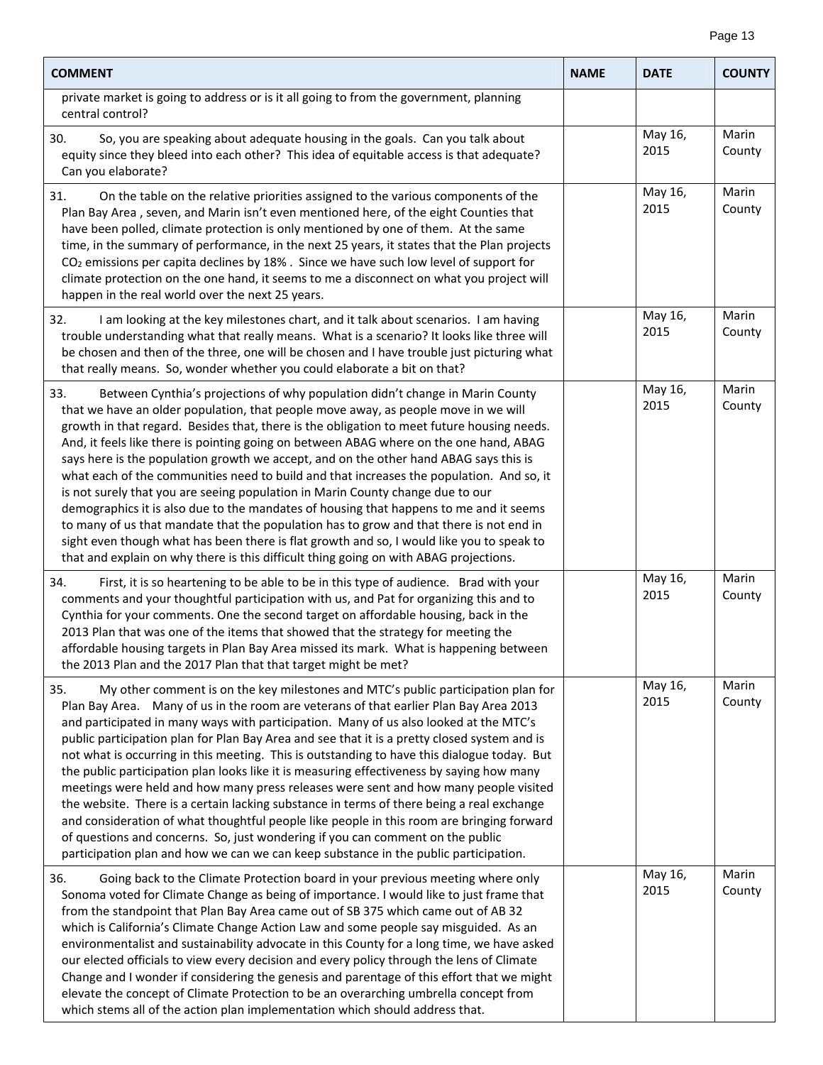| <b>COMMENT</b>                                                                                                                                                                                                                                                                                                                                                                                                                                                                                                                                                                                                                                                                                                                                                                                                                                                                                                                                                                                                                     | <b>NAME</b> | <b>DATE</b>     | <b>COUNTY</b>   |
|------------------------------------------------------------------------------------------------------------------------------------------------------------------------------------------------------------------------------------------------------------------------------------------------------------------------------------------------------------------------------------------------------------------------------------------------------------------------------------------------------------------------------------------------------------------------------------------------------------------------------------------------------------------------------------------------------------------------------------------------------------------------------------------------------------------------------------------------------------------------------------------------------------------------------------------------------------------------------------------------------------------------------------|-------------|-----------------|-----------------|
| private market is going to address or is it all going to from the government, planning<br>central control?                                                                                                                                                                                                                                                                                                                                                                                                                                                                                                                                                                                                                                                                                                                                                                                                                                                                                                                         |             |                 |                 |
| So, you are speaking about adequate housing in the goals. Can you talk about<br>30.<br>equity since they bleed into each other? This idea of equitable access is that adequate?<br>Can you elaborate?                                                                                                                                                                                                                                                                                                                                                                                                                                                                                                                                                                                                                                                                                                                                                                                                                              |             | May 16,<br>2015 | Marin<br>County |
| On the table on the relative priorities assigned to the various components of the<br>31.<br>Plan Bay Area, seven, and Marin isn't even mentioned here, of the eight Counties that<br>have been polled, climate protection is only mentioned by one of them. At the same<br>time, in the summary of performance, in the next 25 years, it states that the Plan projects<br>$CO2$ emissions per capita declines by 18%. Since we have such low level of support for<br>climate protection on the one hand, it seems to me a disconnect on what you project will<br>happen in the real world over the next 25 years.                                                                                                                                                                                                                                                                                                                                                                                                                  |             | May 16,<br>2015 | Marin<br>County |
| 32.<br>I am looking at the key milestones chart, and it talk about scenarios. I am having<br>trouble understanding what that really means. What is a scenario? It looks like three will<br>be chosen and then of the three, one will be chosen and I have trouble just picturing what<br>that really means. So, wonder whether you could elaborate a bit on that?                                                                                                                                                                                                                                                                                                                                                                                                                                                                                                                                                                                                                                                                  |             | May 16,<br>2015 | Marin<br>County |
| 33.<br>Between Cynthia's projections of why population didn't change in Marin County<br>that we have an older population, that people move away, as people move in we will<br>growth in that regard. Besides that, there is the obligation to meet future housing needs.<br>And, it feels like there is pointing going on between ABAG where on the one hand, ABAG<br>says here is the population growth we accept, and on the other hand ABAG says this is<br>what each of the communities need to build and that increases the population. And so, it<br>is not surely that you are seeing population in Marin County change due to our<br>demographics it is also due to the mandates of housing that happens to me and it seems<br>to many of us that mandate that the population has to grow and that there is not end in<br>sight even though what has been there is flat growth and so, I would like you to speak to<br>that and explain on why there is this difficult thing going on with ABAG projections.               |             | May 16,<br>2015 | Marin<br>County |
| First, it is so heartening to be able to be in this type of audience. Brad with your<br>34.<br>comments and your thoughtful participation with us, and Pat for organizing this and to<br>Cynthia for your comments. One the second target on affordable housing, back in the<br>2013 Plan that was one of the items that showed that the strategy for meeting the<br>affordable housing targets in Plan Bay Area missed its mark. What is happening between<br>the 2013 Plan and the 2017 Plan that that target might be met?                                                                                                                                                                                                                                                                                                                                                                                                                                                                                                      |             | May 16,<br>2015 | Marin<br>County |
| 35.<br>My other comment is on the key milestones and MTC's public participation plan for<br>Plan Bay Area. Many of us in the room are veterans of that earlier Plan Bay Area 2013<br>and participated in many ways with participation. Many of us also looked at the MTC's<br>public participation plan for Plan Bay Area and see that it is a pretty closed system and is<br>not what is occurring in this meeting. This is outstanding to have this dialogue today. But<br>the public participation plan looks like it is measuring effectiveness by saying how many<br>meetings were held and how many press releases were sent and how many people visited<br>the website. There is a certain lacking substance in terms of there being a real exchange<br>and consideration of what thoughtful people like people in this room are bringing forward<br>of questions and concerns. So, just wondering if you can comment on the public<br>participation plan and how we can we can keep substance in the public participation. |             | May 16,<br>2015 | Marin<br>County |
| Going back to the Climate Protection board in your previous meeting where only<br>36.<br>Sonoma voted for Climate Change as being of importance. I would like to just frame that<br>from the standpoint that Plan Bay Area came out of SB 375 which came out of AB 32<br>which is California's Climate Change Action Law and some people say misguided. As an<br>environmentalist and sustainability advocate in this County for a long time, we have asked<br>our elected officials to view every decision and every policy through the lens of Climate<br>Change and I wonder if considering the genesis and parentage of this effort that we might<br>elevate the concept of Climate Protection to be an overarching umbrella concept from<br>which stems all of the action plan implementation which should address that.                                                                                                                                                                                                      |             | May 16,<br>2015 | Marin<br>County |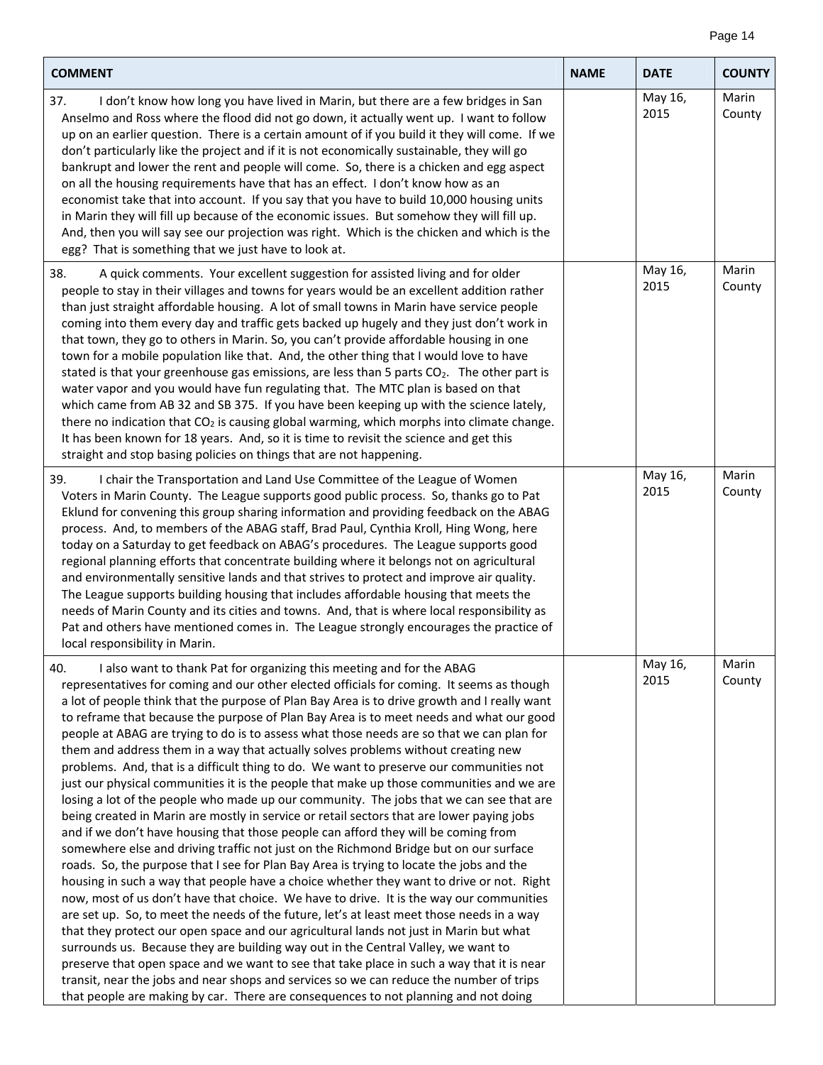| <b>COMMENT</b>                                                                                                                                                                                                                                                                                                                                                                                                                                                                                                                                                                                                                                                                                                                                                                                                                                                                                                                                                                                                                                                                                                                                                                                                                                                                                                                                                                                                                                                                                                                                                                                                                                                                                                                                                                                                                                                                                                                                                     | <b>NAME</b> | <b>DATE</b>     | <b>COUNTY</b>   |
|--------------------------------------------------------------------------------------------------------------------------------------------------------------------------------------------------------------------------------------------------------------------------------------------------------------------------------------------------------------------------------------------------------------------------------------------------------------------------------------------------------------------------------------------------------------------------------------------------------------------------------------------------------------------------------------------------------------------------------------------------------------------------------------------------------------------------------------------------------------------------------------------------------------------------------------------------------------------------------------------------------------------------------------------------------------------------------------------------------------------------------------------------------------------------------------------------------------------------------------------------------------------------------------------------------------------------------------------------------------------------------------------------------------------------------------------------------------------------------------------------------------------------------------------------------------------------------------------------------------------------------------------------------------------------------------------------------------------------------------------------------------------------------------------------------------------------------------------------------------------------------------------------------------------------------------------------------------------|-------------|-----------------|-----------------|
| 37.<br>I don't know how long you have lived in Marin, but there are a few bridges in San<br>Anselmo and Ross where the flood did not go down, it actually went up. I want to follow<br>up on an earlier question. There is a certain amount of if you build it they will come. If we<br>don't particularly like the project and if it is not economically sustainable, they will go<br>bankrupt and lower the rent and people will come. So, there is a chicken and egg aspect<br>on all the housing requirements have that has an effect. I don't know how as an<br>economist take that into account. If you say that you have to build 10,000 housing units<br>in Marin they will fill up because of the economic issues. But somehow they will fill up.<br>And, then you will say see our projection was right. Which is the chicken and which is the<br>egg? That is something that we just have to look at.                                                                                                                                                                                                                                                                                                                                                                                                                                                                                                                                                                                                                                                                                                                                                                                                                                                                                                                                                                                                                                                   |             | May 16,<br>2015 | Marin<br>County |
| 38.<br>A quick comments. Your excellent suggestion for assisted living and for older<br>people to stay in their villages and towns for years would be an excellent addition rather<br>than just straight affordable housing. A lot of small towns in Marin have service people<br>coming into them every day and traffic gets backed up hugely and they just don't work in<br>that town, they go to others in Marin. So, you can't provide affordable housing in one<br>town for a mobile population like that. And, the other thing that I would love to have<br>stated is that your greenhouse gas emissions, are less than 5 parts CO <sub>2</sub> . The other part is<br>water vapor and you would have fun regulating that. The MTC plan is based on that<br>which came from AB 32 and SB 375. If you have been keeping up with the science lately,<br>there no indication that CO <sub>2</sub> is causing global warming, which morphs into climate change.<br>It has been known for 18 years. And, so it is time to revisit the science and get this<br>straight and stop basing policies on things that are not happening.                                                                                                                                                                                                                                                                                                                                                                                                                                                                                                                                                                                                                                                                                                                                                                                                                                 |             | May 16,<br>2015 | Marin<br>County |
| 39.<br>I chair the Transportation and Land Use Committee of the League of Women<br>Voters in Marin County. The League supports good public process. So, thanks go to Pat<br>Eklund for convening this group sharing information and providing feedback on the ABAG<br>process. And, to members of the ABAG staff, Brad Paul, Cynthia Kroll, Hing Wong, here<br>today on a Saturday to get feedback on ABAG's procedures. The League supports good<br>regional planning efforts that concentrate building where it belongs not on agricultural<br>and environmentally sensitive lands and that strives to protect and improve air quality.<br>The League supports building housing that includes affordable housing that meets the<br>needs of Marin County and its cities and towns. And, that is where local responsibility as<br>Pat and others have mentioned comes in. The League strongly encourages the practice of<br>local responsibility in Marin.                                                                                                                                                                                                                                                                                                                                                                                                                                                                                                                                                                                                                                                                                                                                                                                                                                                                                                                                                                                                        |             | May 16,<br>2015 | Marin<br>County |
| I also want to thank Pat for organizing this meeting and for the ABAG<br>40.<br>representatives for coming and our other elected officials for coming. It seems as though<br>a lot of people think that the purpose of Plan Bay Area is to drive growth and I really want<br>to reframe that because the purpose of Plan Bay Area is to meet needs and what our good<br>people at ABAG are trying to do is to assess what those needs are so that we can plan for<br>them and address them in a way that actually solves problems without creating new<br>problems. And, that is a difficult thing to do. We want to preserve our communities not<br>just our physical communities it is the people that make up those communities and we are<br>losing a lot of the people who made up our community. The jobs that we can see that are<br>being created in Marin are mostly in service or retail sectors that are lower paying jobs<br>and if we don't have housing that those people can afford they will be coming from<br>somewhere else and driving traffic not just on the Richmond Bridge but on our surface<br>roads. So, the purpose that I see for Plan Bay Area is trying to locate the jobs and the<br>housing in such a way that people have a choice whether they want to drive or not. Right<br>now, most of us don't have that choice. We have to drive. It is the way our communities<br>are set up. So, to meet the needs of the future, let's at least meet those needs in a way<br>that they protect our open space and our agricultural lands not just in Marin but what<br>surrounds us. Because they are building way out in the Central Valley, we want to<br>preserve that open space and we want to see that take place in such a way that it is near<br>transit, near the jobs and near shops and services so we can reduce the number of trips<br>that people are making by car. There are consequences to not planning and not doing |             | May 16,<br>2015 | Marin<br>County |